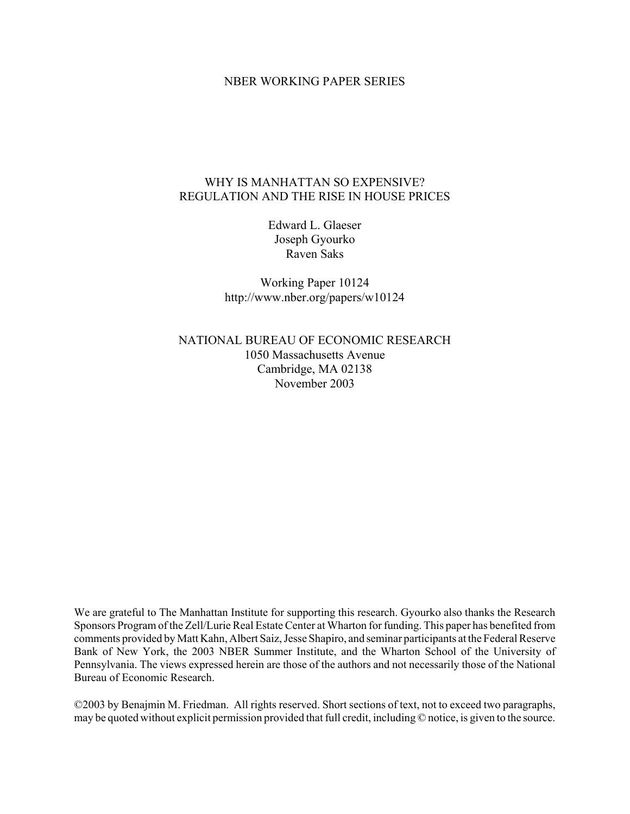#### NBER WORKING PAPER SERIES

## WHY IS MANHATTAN SO EXPENSIVE? REGULATION AND THE RISE IN HOUSE PRICES

Edward L. Glaeser Joseph Gyourko Raven Saks

Working Paper 10124 http://www.nber.org/papers/w10124

NATIONAL BUREAU OF ECONOMIC RESEARCH 1050 Massachusetts Avenue Cambridge, MA 02138 November 2003

We are grateful to The Manhattan Institute for supporting this research. Gyourko also thanks the Research Sponsors Program of the Zell/Lurie Real Estate Center at Wharton for funding. This paper has benefited from comments provided by Matt Kahn, Albert Saiz, Jesse Shapiro, and seminar participants at the Federal Reserve Bank of New York, the 2003 NBER Summer Institute, and the Wharton School of the University of Pennsylvania. The views expressed herein are those of the authors and not necessarily those of the National Bureau of Economic Research.

©2003 by Benajmin M. Friedman. All rights reserved. Short sections of text, not to exceed two paragraphs, may be quoted without explicit permission provided that full credit, including © notice, is given to the source.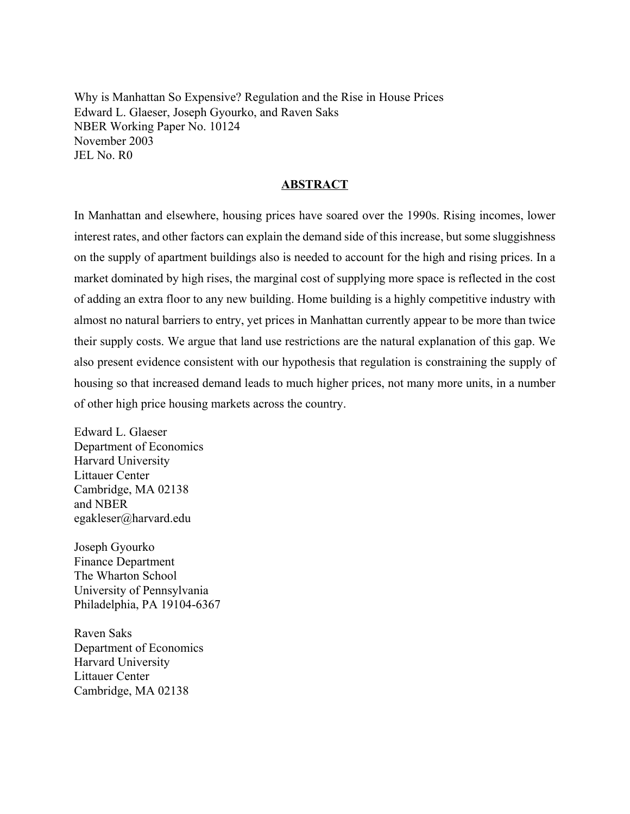Why is Manhattan So Expensive? Regulation and the Rise in House Prices Edward L. Glaeser, Joseph Gyourko, and Raven Saks NBER Working Paper No. 10124 November 2003 JEL No. R0

## **ABSTRACT**

In Manhattan and elsewhere, housing prices have soared over the 1990s. Rising incomes, lower interest rates, and other factors can explain the demand side of this increase, but some sluggishness on the supply of apartment buildings also is needed to account for the high and rising prices. In a market dominated by high rises, the marginal cost of supplying more space is reflected in the cost of adding an extra floor to any new building. Home building is a highly competitive industry with almost no natural barriers to entry, yet prices in Manhattan currently appear to be more than twice their supply costs. We argue that land use restrictions are the natural explanation of this gap. We also present evidence consistent with our hypothesis that regulation is constraining the supply of housing so that increased demand leads to much higher prices, not many more units, in a number of other high price housing markets across the country.

Edward L. Glaeser Department of Economics Harvard University Littauer Center Cambridge, MA 02138 and NBER egakleser@harvard.edu

Joseph Gyourko Finance Department The Wharton School University of Pennsylvania Philadelphia, PA 19104-6367

Raven Saks Department of Economics Harvard University Littauer Center Cambridge, MA 02138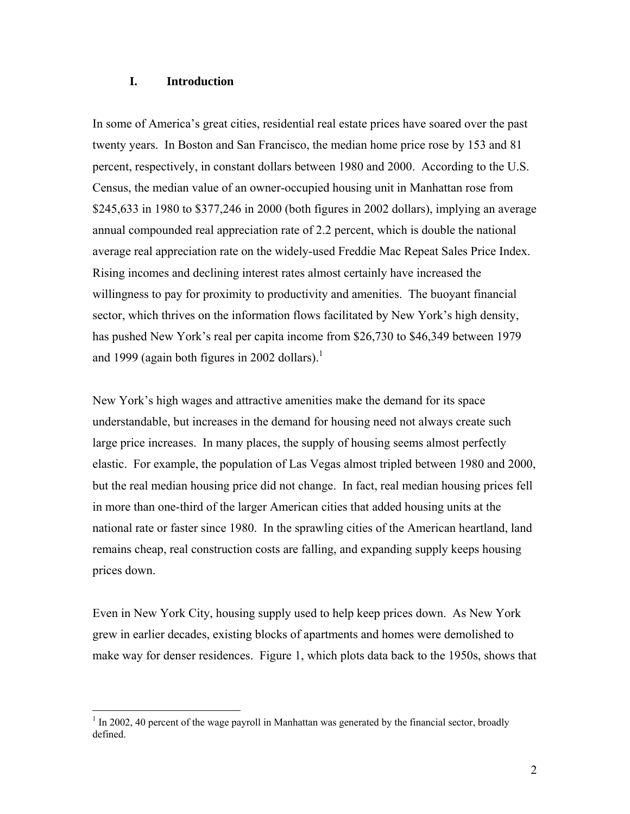## **I. Introduction**

In some of America's great cities, residential real estate prices have soared over the past twenty years. In Boston and San Francisco, the median home price rose by 153 and 81 percent, respectively, in constant dollars between 1980 and 2000. According to the U.S. Census, the median value of an owner-occupied housing unit in Manhattan rose from \$245,633 in 1980 to \$377,246 in 2000 (both figures in 2002 dollars), implying an average annual compounded real appreciation rate of 2.2 percent, which is double the national average real appreciation rate on the widely-used Freddie Mac Repeat Sales Price Index. Rising incomes and declining interest rates almost certainly have increased the willingness to pay for proximity to productivity and amenities. The buoyant financial sector, which thrives on the information flows facilitated by New York's high density, has pushed New York's real per capita income from \$26,730 to \$46,349 between 1979 and 1999 (again both figures in 2002 dollars).<sup>1</sup>

New York's high wages and attractive amenities make the demand for its space understandable, but increases in the demand for housing need not always create such large price increases. In many places, the supply of housing seems almost perfectly elastic. For example, the population of Las Vegas almost tripled between 1980 and 2000, but the real median housing price did not change. In fact, real median housing prices fell in more than one-third of the larger American cities that added housing units at the national rate or faster since 1980. In the sprawling cities of the American heartland, land remains cheap, real construction costs are falling, and expanding supply keeps housing prices down.

Even in New York City, housing supply used to help keep prices down. As New York grew in earlier decades, existing blocks of apartments and homes were demolished to make way for denser residences. Figure 1, which plots data back to the 1950s, shows that

 $1 \text{ In } 2002$ , 40 percent of the wage payroll in Manhattan was generated by the financial sector, broadly defined.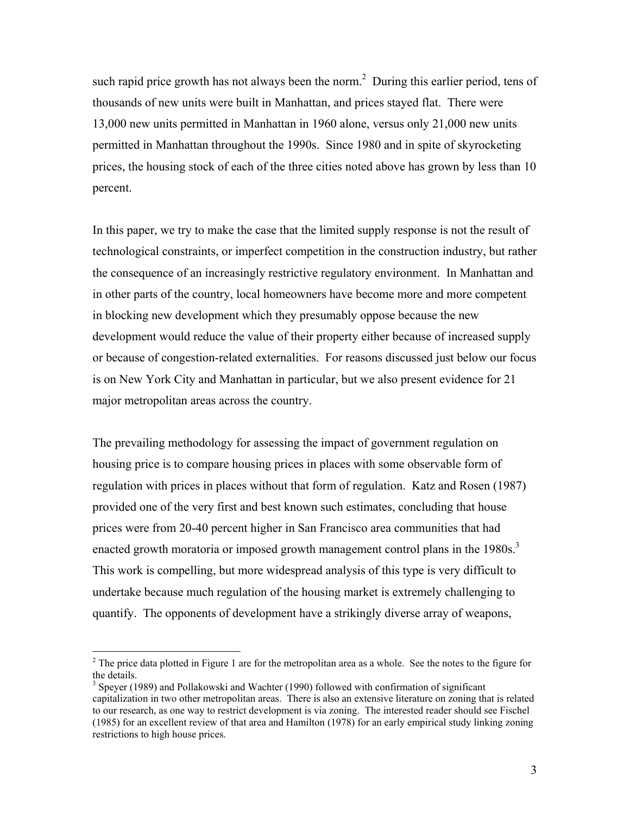such rapid price growth has not always been the norm.<sup>2</sup> During this earlier period, tens of thousands of new units were built in Manhattan, and prices stayed flat. There were 13,000 new units permitted in Manhattan in 1960 alone, versus only 21,000 new units permitted in Manhattan throughout the 1990s. Since 1980 and in spite of skyrocketing prices, the housing stock of each of the three cities noted above has grown by less than 10 percent.

In this paper, we try to make the case that the limited supply response is not the result of technological constraints, or imperfect competition in the construction industry, but rather the consequence of an increasingly restrictive regulatory environment. In Manhattan and in other parts of the country, local homeowners have become more and more competent in blocking new development which they presumably oppose because the new development would reduce the value of their property either because of increased supply or because of congestion-related externalities. For reasons discussed just below our focus is on New York City and Manhattan in particular, but we also present evidence for 21 major metropolitan areas across the country.

The prevailing methodology for assessing the impact of government regulation on housing price is to compare housing prices in places with some observable form of regulation with prices in places without that form of regulation. Katz and Rosen (1987) provided one of the very first and best known such estimates, concluding that house prices were from 20-40 percent higher in San Francisco area communities that had enacted growth moratoria or imposed growth management control plans in the 1980s.<sup>3</sup> This work is compelling, but more widespread analysis of this type is very difficult to undertake because much regulation of the housing market is extremely challenging to quantify. The opponents of development have a strikingly diverse array of weapons,

 $2^2$  The price data plotted in Figure 1 are for the metropolitan area as a whole. See the notes to the figure for the details.

<sup>&</sup>lt;sup>3</sup> Speyer (1989) and Pollakowski and Wachter (1990) followed with confirmation of significant capitalization in two other metropolitan areas. There is also an extensive literature on zoning that is related to our research, as one way to restrict development is via zoning. The interested reader should see Fischel (1985) for an excellent review of that area and Hamilton (1978) for an early empirical study linking zoning restrictions to high house prices.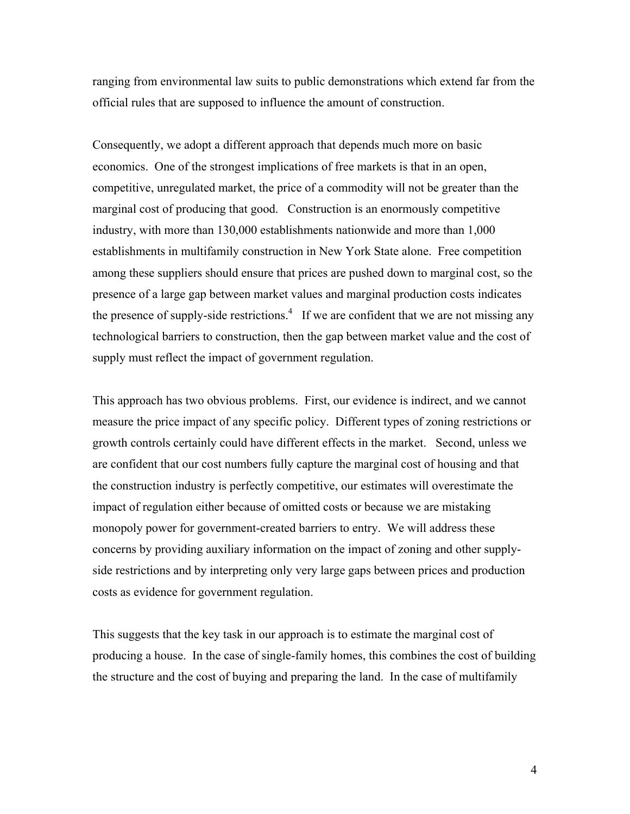ranging from environmental law suits to public demonstrations which extend far from the official rules that are supposed to influence the amount of construction.

Consequently, we adopt a different approach that depends much more on basic economics. One of the strongest implications of free markets is that in an open, competitive, unregulated market, the price of a commodity will not be greater than the marginal cost of producing that good. Construction is an enormously competitive industry, with more than 130,000 establishments nationwide and more than 1,000 establishments in multifamily construction in New York State alone. Free competition among these suppliers should ensure that prices are pushed down to marginal cost, so the presence of a large gap between market values and marginal production costs indicates the presence of supply-side restrictions.<sup>4</sup> If we are confident that we are not missing any technological barriers to construction, then the gap between market value and the cost of supply must reflect the impact of government regulation.

This approach has two obvious problems. First, our evidence is indirect, and we cannot measure the price impact of any specific policy. Different types of zoning restrictions or growth controls certainly could have different effects in the market. Second, unless we are confident that our cost numbers fully capture the marginal cost of housing and that the construction industry is perfectly competitive, our estimates will overestimate the impact of regulation either because of omitted costs or because we are mistaking monopoly power for government-created barriers to entry. We will address these concerns by providing auxiliary information on the impact of zoning and other supplyside restrictions and by interpreting only very large gaps between prices and production costs as evidence for government regulation.

This suggests that the key task in our approach is to estimate the marginal cost of producing a house. In the case of single-family homes, this combines the cost of building the structure and the cost of buying and preparing the land. In the case of multifamily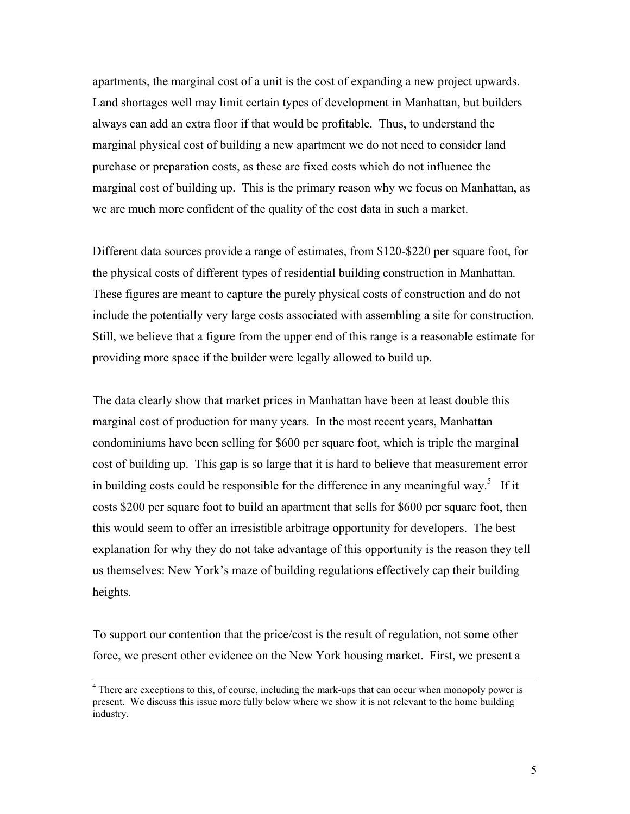apartments, the marginal cost of a unit is the cost of expanding a new project upwards. Land shortages well may limit certain types of development in Manhattan, but builders always can add an extra floor if that would be profitable. Thus, to understand the marginal physical cost of building a new apartment we do not need to consider land purchase or preparation costs, as these are fixed costs which do not influence the marginal cost of building up. This is the primary reason why we focus on Manhattan, as we are much more confident of the quality of the cost data in such a market.

Different data sources provide a range of estimates, from \$120-\$220 per square foot, for the physical costs of different types of residential building construction in Manhattan. These figures are meant to capture the purely physical costs of construction and do not include the potentially very large costs associated with assembling a site for construction. Still, we believe that a figure from the upper end of this range is a reasonable estimate for providing more space if the builder were legally allowed to build up.

The data clearly show that market prices in Manhattan have been at least double this marginal cost of production for many years. In the most recent years, Manhattan condominiums have been selling for \$600 per square foot, which is triple the marginal cost of building up. This gap is so large that it is hard to believe that measurement error in building costs could be responsible for the difference in any meaningful way.<sup>5</sup> If it costs \$200 per square foot to build an apartment that sells for \$600 per square foot, then this would seem to offer an irresistible arbitrage opportunity for developers. The best explanation for why they do not take advantage of this opportunity is the reason they tell us themselves: New York's maze of building regulations effectively cap their building heights.

To support our contention that the price/cost is the result of regulation, not some other force, we present other evidence on the New York housing market. First, we present a

 $\frac{1}{4}$ <sup>4</sup> There are exceptions to this, of course, including the mark-ups that can occur when monopoly power is present. We discuss this issue more fully below where we show it is not relevant to the home building industry.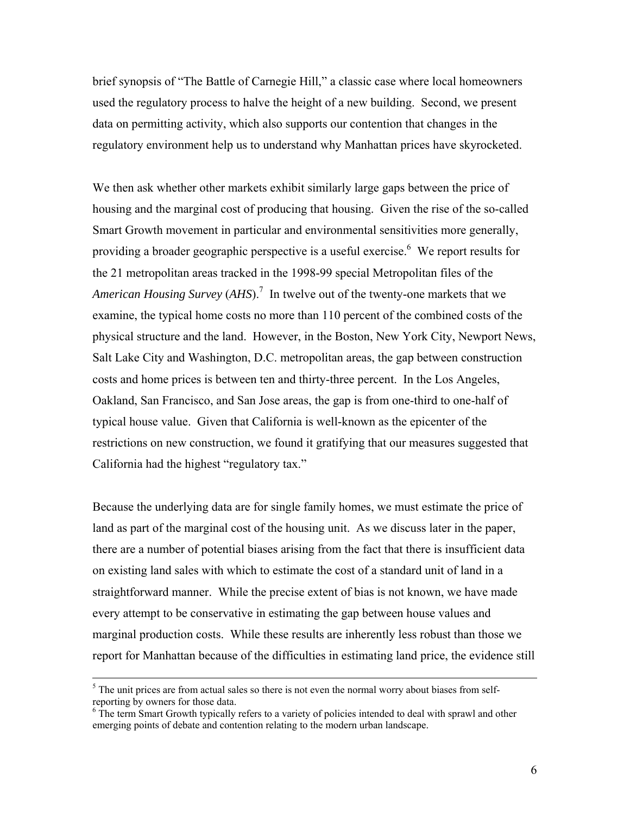brief synopsis of "The Battle of Carnegie Hill," a classic case where local homeowners used the regulatory process to halve the height of a new building. Second, we present data on permitting activity, which also supports our contention that changes in the regulatory environment help us to understand why Manhattan prices have skyrocketed.

We then ask whether other markets exhibit similarly large gaps between the price of housing and the marginal cost of producing that housing. Given the rise of the so-called Smart Growth movement in particular and environmental sensitivities more generally, providing a broader geographic perspective is a useful exercise.<sup>6</sup> We report results for the 21 metropolitan areas tracked in the 1998-99 special Metropolitan files of the American Housing Survey (AHS).<sup>7</sup> In twelve out of the twenty-one markets that we examine, the typical home costs no more than 110 percent of the combined costs of the physical structure and the land. However, in the Boston, New York City, Newport News, Salt Lake City and Washington, D.C. metropolitan areas, the gap between construction costs and home prices is between ten and thirty-three percent. In the Los Angeles, Oakland, San Francisco, and San Jose areas, the gap is from one-third to one-half of typical house value. Given that California is well-known as the epicenter of the restrictions on new construction, we found it gratifying that our measures suggested that California had the highest "regulatory tax."

Because the underlying data are for single family homes, we must estimate the price of land as part of the marginal cost of the housing unit. As we discuss later in the paper, there are a number of potential biases arising from the fact that there is insufficient data on existing land sales with which to estimate the cost of a standard unit of land in a straightforward manner. While the precise extent of bias is not known, we have made every attempt to be conservative in estimating the gap between house values and marginal production costs. While these results are inherently less robust than those we report for Manhattan because of the difficulties in estimating land price, the evidence still

 $\frac{1}{5}$  $<sup>5</sup>$  The unit prices are from actual sales so there is not even the normal worry about biases from self-</sup> reporting by owners for those data.

<sup>&</sup>lt;sup>6</sup> The term Smart Growth typically refers to a variety of policies intended to deal with sprawl and other emerging points of debate and contention relating to the modern urban landscape.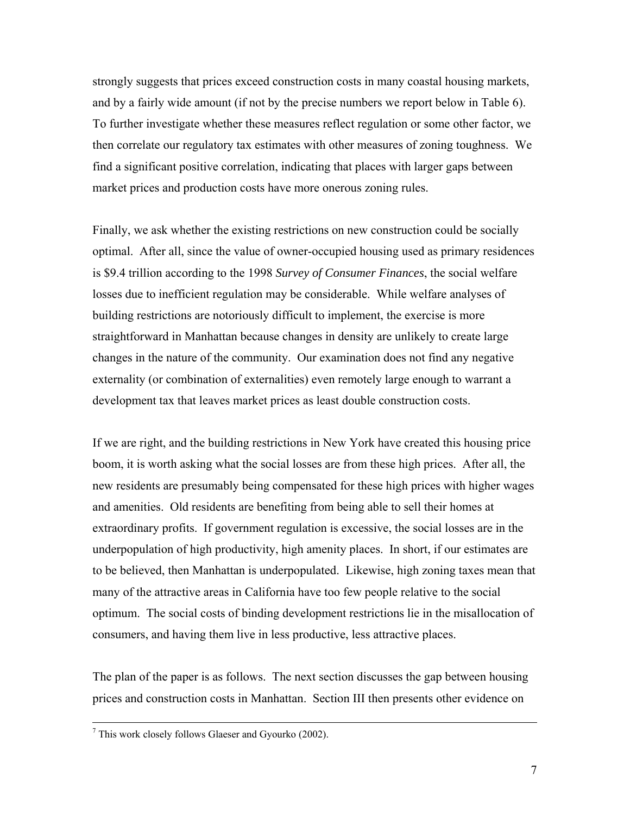strongly suggests that prices exceed construction costs in many coastal housing markets, and by a fairly wide amount (if not by the precise numbers we report below in Table 6). To further investigate whether these measures reflect regulation or some other factor, we then correlate our regulatory tax estimates with other measures of zoning toughness. We find a significant positive correlation, indicating that places with larger gaps between market prices and production costs have more onerous zoning rules.

Finally, we ask whether the existing restrictions on new construction could be socially optimal. After all, since the value of owner-occupied housing used as primary residences is \$9.4 trillion according to the 1998 *Survey of Consumer Finances*, the social welfare losses due to inefficient regulation may be considerable. While welfare analyses of building restrictions are notoriously difficult to implement, the exercise is more straightforward in Manhattan because changes in density are unlikely to create large changes in the nature of the community. Our examination does not find any negative externality (or combination of externalities) even remotely large enough to warrant a development tax that leaves market prices as least double construction costs.

If we are right, and the building restrictions in New York have created this housing price boom, it is worth asking what the social losses are from these high prices. After all, the new residents are presumably being compensated for these high prices with higher wages and amenities. Old residents are benefiting from being able to sell their homes at extraordinary profits. If government regulation is excessive, the social losses are in the underpopulation of high productivity, high amenity places. In short, if our estimates are to be believed, then Manhattan is underpopulated. Likewise, high zoning taxes mean that many of the attractive areas in California have too few people relative to the social optimum. The social costs of binding development restrictions lie in the misallocation of consumers, and having them live in less productive, less attractive places.

The plan of the paper is as follows. The next section discusses the gap between housing prices and construction costs in Manhattan. Section III then presents other evidence on

<sup>-&</sup>lt;br>7  $7$  This work closely follows Glaeser and Gyourko (2002).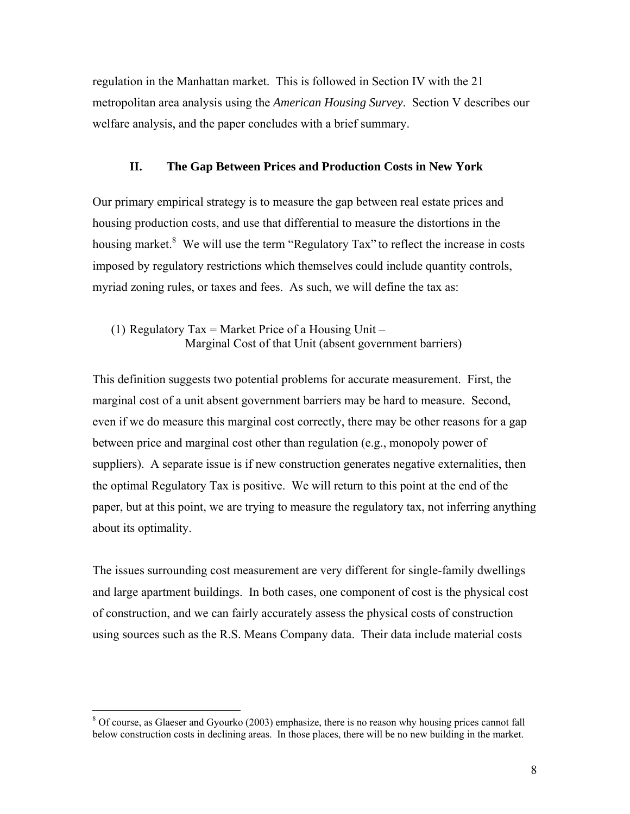regulation in the Manhattan market. This is followed in Section IV with the 21 metropolitan area analysis using the *American Housing Survey*. Section V describes our welfare analysis, and the paper concludes with a brief summary.

#### **II. The Gap Between Prices and Production Costs in New York**

Our primary empirical strategy is to measure the gap between real estate prices and housing production costs, and use that differential to measure the distortions in the housing market.<sup>8</sup> We will use the term "Regulatory Tax" to reflect the increase in costs imposed by regulatory restrictions which themselves could include quantity controls, myriad zoning rules, or taxes and fees. As such, we will define the tax as:

(1) Regulatory Tax = Market Price of a Housing Unit  $-$ Marginal Cost of that Unit (absent government barriers)

This definition suggests two potential problems for accurate measurement. First, the marginal cost of a unit absent government barriers may be hard to measure. Second, even if we do measure this marginal cost correctly, there may be other reasons for a gap between price and marginal cost other than regulation (e.g., monopoly power of suppliers). A separate issue is if new construction generates negative externalities, then the optimal Regulatory Tax is positive. We will return to this point at the end of the paper, but at this point, we are trying to measure the regulatory tax, not inferring anything about its optimality.

The issues surrounding cost measurement are very different for single-family dwellings and large apartment buildings. In both cases, one component of cost is the physical cost of construction, and we can fairly accurately assess the physical costs of construction using sources such as the R.S. Means Company data. Their data include material costs

<sup>&</sup>lt;sup>8</sup> Of course, as Glaeser and Gyourko (2003) emphasize, there is no reason why housing prices cannot fall below construction costs in declining areas. In those places, there will be no new building in the market.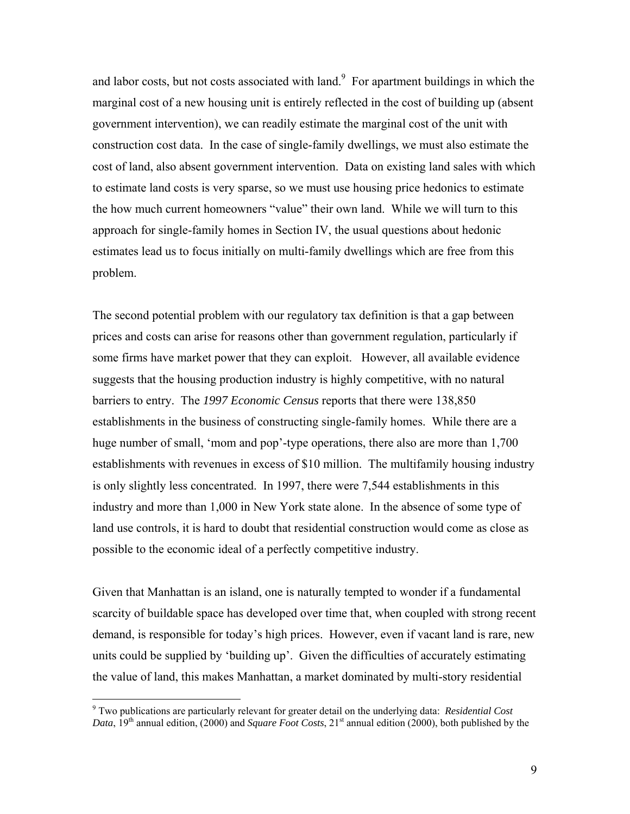and labor costs, but not costs associated with land. $9$  For apartment buildings in which the marginal cost of a new housing unit is entirely reflected in the cost of building up (absent government intervention), we can readily estimate the marginal cost of the unit with construction cost data. In the case of single-family dwellings, we must also estimate the cost of land, also absent government intervention. Data on existing land sales with which to estimate land costs is very sparse, so we must use housing price hedonics to estimate the how much current homeowners "value" their own land. While we will turn to this approach for single-family homes in Section IV, the usual questions about hedonic estimates lead us to focus initially on multi-family dwellings which are free from this problem.

The second potential problem with our regulatory tax definition is that a gap between prices and costs can arise for reasons other than government regulation, particularly if some firms have market power that they can exploit. However, all available evidence suggests that the housing production industry is highly competitive, with no natural barriers to entry. The *1997 Economic Census* reports that there were 138,850 establishments in the business of constructing single-family homes. While there are a huge number of small, 'mom and pop'-type operations, there also are more than 1,700 establishments with revenues in excess of \$10 million. The multifamily housing industry is only slightly less concentrated. In 1997, there were 7,544 establishments in this industry and more than 1,000 in New York state alone. In the absence of some type of land use controls, it is hard to doubt that residential construction would come as close as possible to the economic ideal of a perfectly competitive industry.

Given that Manhattan is an island, one is naturally tempted to wonder if a fundamental scarcity of buildable space has developed over time that, when coupled with strong recent demand, is responsible for today's high prices. However, even if vacant land is rare, new units could be supplied by 'building up'. Given the difficulties of accurately estimating the value of land, this makes Manhattan, a market dominated by multi-story residential

1

<sup>9</sup> Two publications are particularly relevant for greater detail on the underlying data: *Residential Cost Data*, 19<sup>th</sup> annual edition, (2000) and *Square Foot Costs*, 21<sup>st</sup> annual edition (2000), both published by the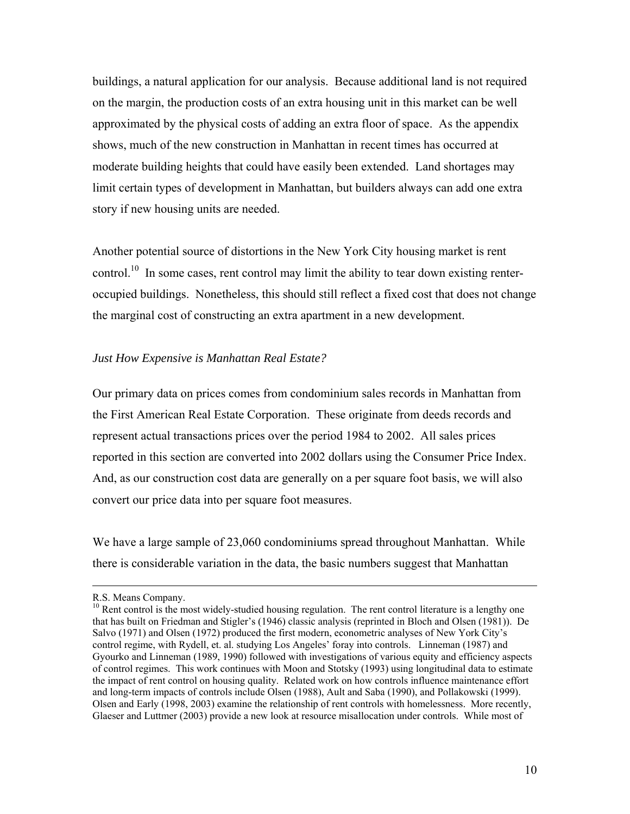buildings, a natural application for our analysis. Because additional land is not required on the margin, the production costs of an extra housing unit in this market can be well approximated by the physical costs of adding an extra floor of space. As the appendix shows, much of the new construction in Manhattan in recent times has occurred at moderate building heights that could have easily been extended. Land shortages may limit certain types of development in Manhattan, but builders always can add one extra story if new housing units are needed.

Another potential source of distortions in the New York City housing market is rent control.<sup>10</sup> In some cases, rent control may limit the ability to tear down existing renteroccupied buildings. Nonetheless, this should still reflect a fixed cost that does not change the marginal cost of constructing an extra apartment in a new development.

## *Just How Expensive is Manhattan Real Estate?*

Our primary data on prices comes from condominium sales records in Manhattan from the First American Real Estate Corporation. These originate from deeds records and represent actual transactions prices over the period 1984 to 2002. All sales prices reported in this section are converted into 2002 dollars using the Consumer Price Index. And, as our construction cost data are generally on a per square foot basis, we will also convert our price data into per square foot measures.

We have a large sample of 23,060 condominiums spread throughout Manhattan. While there is considerable variation in the data, the basic numbers suggest that Manhattan

R.S. Means Company.

 $10$  Rent control is the most widely-studied housing regulation. The rent control literature is a lengthy one that has built on Friedman and Stigler's (1946) classic analysis (reprinted in Bloch and Olsen (1981)). De Salvo (1971) and Olsen (1972) produced the first modern, econometric analyses of New York City's control regime, with Rydell, et. al. studying Los Angeles' foray into controls. Linneman (1987) and Gyourko and Linneman (1989, 1990) followed with investigations of various equity and efficiency aspects of control regimes. This work continues with Moon and Stotsky (1993) using longitudinal data to estimate the impact of rent control on housing quality. Related work on how controls influence maintenance effort and long-term impacts of controls include Olsen (1988), Ault and Saba (1990), and Pollakowski (1999). Olsen and Early (1998, 2003) examine the relationship of rent controls with homelessness. More recently, Glaeser and Luttmer (2003) provide a new look at resource misallocation under controls. While most of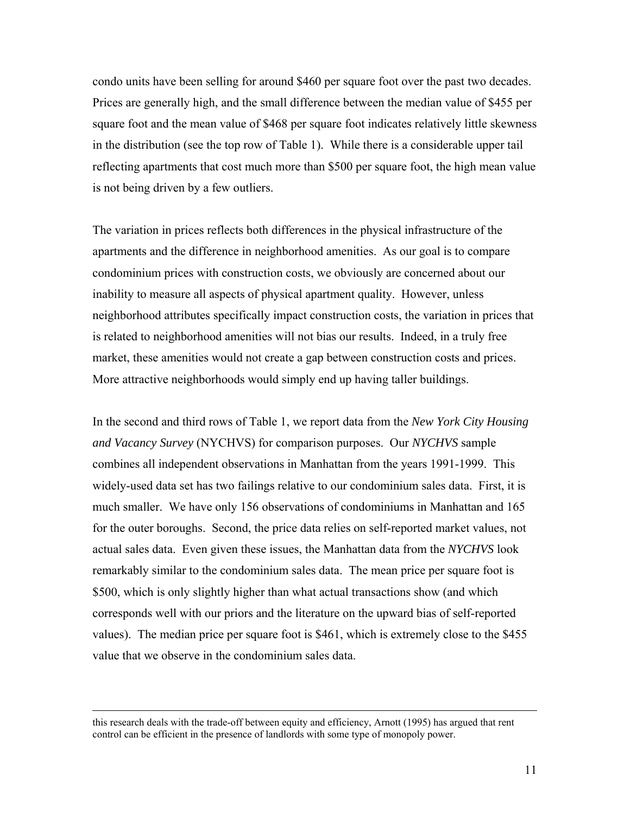condo units have been selling for around \$460 per square foot over the past two decades. Prices are generally high, and the small difference between the median value of \$455 per square foot and the mean value of \$468 per square foot indicates relatively little skewness in the distribution (see the top row of Table 1). While there is a considerable upper tail reflecting apartments that cost much more than \$500 per square foot, the high mean value is not being driven by a few outliers.

The variation in prices reflects both differences in the physical infrastructure of the apartments and the difference in neighborhood amenities. As our goal is to compare condominium prices with construction costs, we obviously are concerned about our inability to measure all aspects of physical apartment quality. However, unless neighborhood attributes specifically impact construction costs, the variation in prices that is related to neighborhood amenities will not bias our results. Indeed, in a truly free market, these amenities would not create a gap between construction costs and prices. More attractive neighborhoods would simply end up having taller buildings.

In the second and third rows of Table 1, we report data from the *New York City Housing and Vacancy Survey* (NYCHVS) for comparison purposes. Our *NYCHVS* sample combines all independent observations in Manhattan from the years 1991-1999. This widely-used data set has two failings relative to our condominium sales data. First, it is much smaller. We have only 156 observations of condominiums in Manhattan and 165 for the outer boroughs. Second, the price data relies on self-reported market values, not actual sales data. Even given these issues, the Manhattan data from the *NYCHVS* look remarkably similar to the condominium sales data. The mean price per square foot is \$500, which is only slightly higher than what actual transactions show (and which corresponds well with our priors and the literature on the upward bias of self-reported values). The median price per square foot is \$461, which is extremely close to the \$455 value that we observe in the condominium sales data.

this research deals with the trade-off between equity and efficiency, Arnott (1995) has argued that rent control can be efficient in the presence of landlords with some type of monopoly power.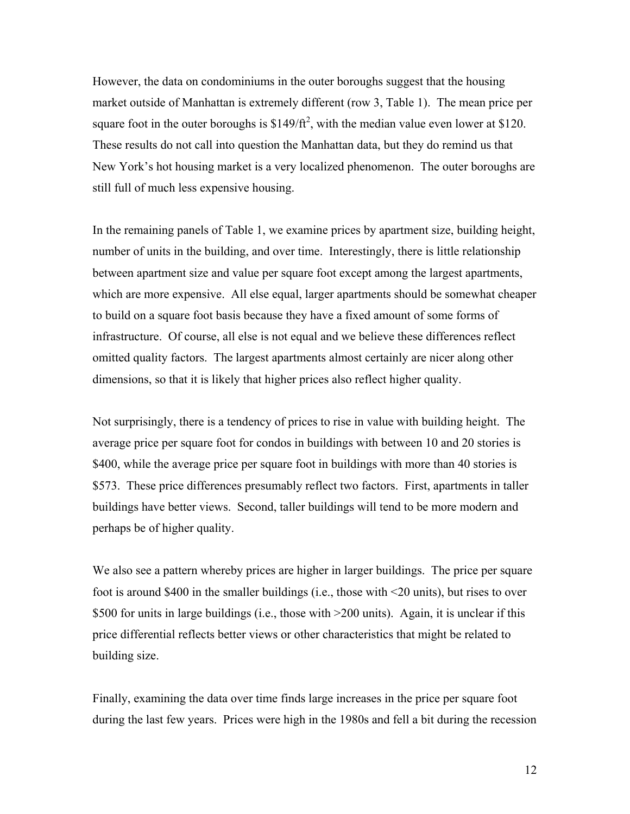However, the data on condominiums in the outer boroughs suggest that the housing market outside of Manhattan is extremely different (row 3, Table 1). The mean price per square foot in the outer boroughs is  $$149/ft^2$ , with the median value even lower at \$120. These results do not call into question the Manhattan data, but they do remind us that New York's hot housing market is a very localized phenomenon. The outer boroughs are still full of much less expensive housing.

In the remaining panels of Table 1, we examine prices by apartment size, building height, number of units in the building, and over time. Interestingly, there is little relationship between apartment size and value per square foot except among the largest apartments, which are more expensive. All else equal, larger apartments should be somewhat cheaper to build on a square foot basis because they have a fixed amount of some forms of infrastructure. Of course, all else is not equal and we believe these differences reflect omitted quality factors. The largest apartments almost certainly are nicer along other dimensions, so that it is likely that higher prices also reflect higher quality.

Not surprisingly, there is a tendency of prices to rise in value with building height. The average price per square foot for condos in buildings with between 10 and 20 stories is \$400, while the average price per square foot in buildings with more than 40 stories is \$573. These price differences presumably reflect two factors. First, apartments in taller buildings have better views. Second, taller buildings will tend to be more modern and perhaps be of higher quality.

We also see a pattern whereby prices are higher in larger buildings. The price per square foot is around \$400 in the smaller buildings (i.e., those with <20 units), but rises to over \$500 for units in large buildings (i.e., those with  $>200$  units). Again, it is unclear if this price differential reflects better views or other characteristics that might be related to building size.

Finally, examining the data over time finds large increases in the price per square foot during the last few years. Prices were high in the 1980s and fell a bit during the recession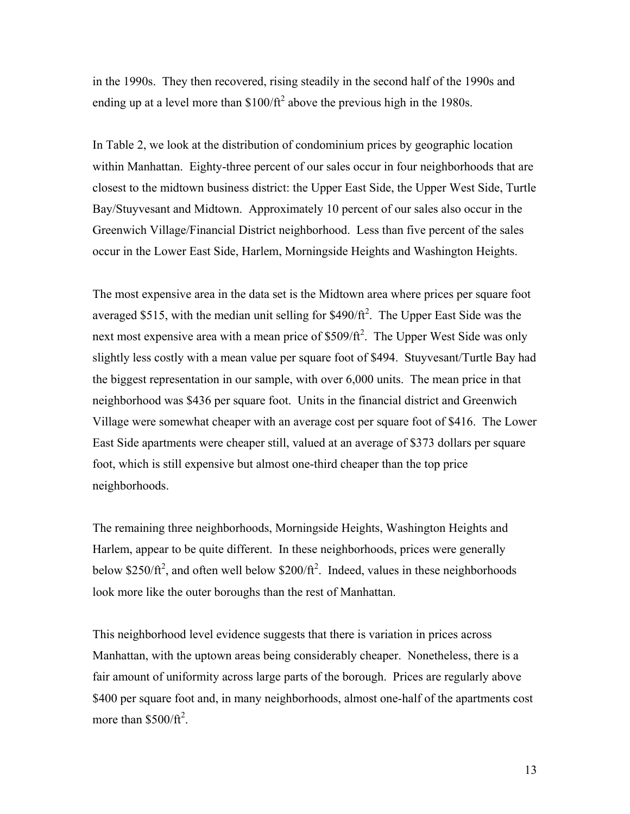in the 1990s. They then recovered, rising steadily in the second half of the 1990s and ending up at a level more than  $$100/ft^2$  above the previous high in the 1980s.

In Table 2, we look at the distribution of condominium prices by geographic location within Manhattan. Eighty-three percent of our sales occur in four neighborhoods that are closest to the midtown business district: the Upper East Side, the Upper West Side, Turtle Bay/Stuyvesant and Midtown. Approximately 10 percent of our sales also occur in the Greenwich Village/Financial District neighborhood. Less than five percent of the sales occur in the Lower East Side, Harlem, Morningside Heights and Washington Heights.

The most expensive area in the data set is the Midtown area where prices per square foot averaged \$515, with the median unit selling for \$490/ $\text{ft}^2$ . The Upper East Side was the next most expensive area with a mean price of  $$509/ft^2$ . The Upper West Side was only slightly less costly with a mean value per square foot of \$494. Stuyvesant/Turtle Bay had the biggest representation in our sample, with over 6,000 units. The mean price in that neighborhood was \$436 per square foot. Units in the financial district and Greenwich Village were somewhat cheaper with an average cost per square foot of \$416. The Lower East Side apartments were cheaper still, valued at an average of \$373 dollars per square foot, which is still expensive but almost one-third cheaper than the top price neighborhoods.

The remaining three neighborhoods, Morningside Heights, Washington Heights and Harlem, appear to be quite different. In these neighborhoods, prices were generally below \$250/ft<sup>2</sup>, and often well below \$200/ft<sup>2</sup>. Indeed, values in these neighborhoods look more like the outer boroughs than the rest of Manhattan.

This neighborhood level evidence suggests that there is variation in prices across Manhattan, with the uptown areas being considerably cheaper. Nonetheless, there is a fair amount of uniformity across large parts of the borough. Prices are regularly above \$400 per square foot and, in many neighborhoods, almost one-half of the apartments cost more than  $$500/ft^2$ .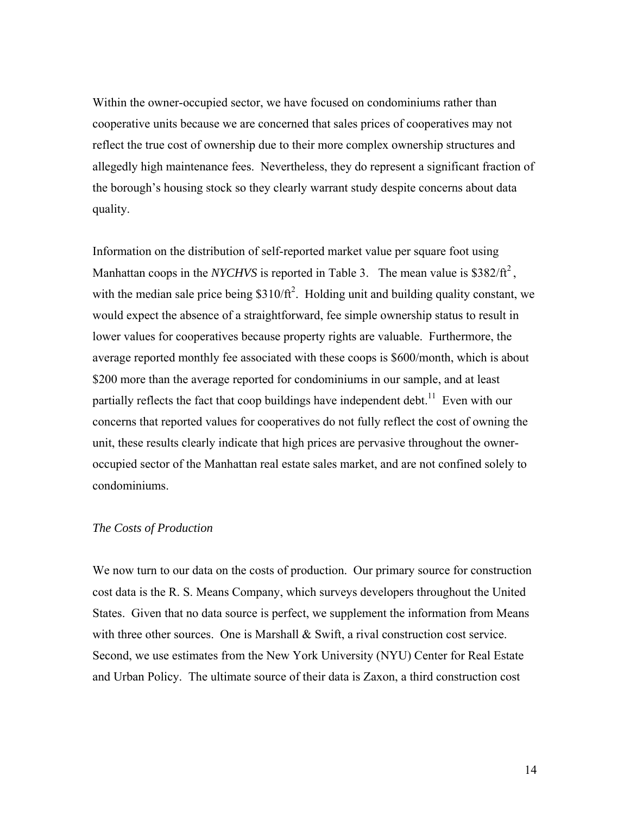Within the owner-occupied sector, we have focused on condominiums rather than cooperative units because we are concerned that sales prices of cooperatives may not reflect the true cost of ownership due to their more complex ownership structures and allegedly high maintenance fees. Nevertheless, they do represent a significant fraction of the borough's housing stock so they clearly warrant study despite concerns about data quality.

Information on the distribution of self-reported market value per square foot using Manhattan coops in the *NYCHVS* is reported in Table 3. The mean value is  $$382/ft<sup>2</sup>$ , with the median sale price being  $$310/ft^2$ . Holding unit and building quality constant, we would expect the absence of a straightforward, fee simple ownership status to result in lower values for cooperatives because property rights are valuable. Furthermore, the average reported monthly fee associated with these coops is \$600/month, which is about \$200 more than the average reported for condominiums in our sample, and at least partially reflects the fact that coop buildings have independent debt.<sup>11</sup> Even with our concerns that reported values for cooperatives do not fully reflect the cost of owning the unit, these results clearly indicate that high prices are pervasive throughout the owneroccupied sector of the Manhattan real estate sales market, and are not confined solely to condominiums.

## *The Costs of Production*

We now turn to our data on the costs of production. Our primary source for construction cost data is the R. S. Means Company, which surveys developers throughout the United States. Given that no data source is perfect, we supplement the information from Means with three other sources. One is Marshall  $\&$  Swift, a rival construction cost service. Second, we use estimates from the New York University (NYU) Center for Real Estate and Urban Policy. The ultimate source of their data is Zaxon, a third construction cost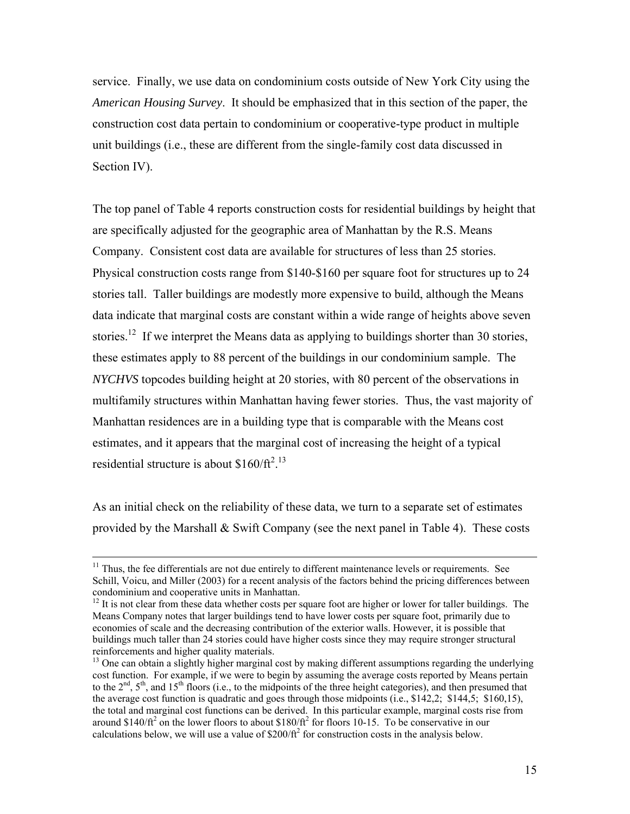service. Finally, we use data on condominium costs outside of New York City using the *American Housing Survey*. It should be emphasized that in this section of the paper, the construction cost data pertain to condominium or cooperative-type product in multiple unit buildings (i.e., these are different from the single-family cost data discussed in Section IV).

The top panel of Table 4 reports construction costs for residential buildings by height that are specifically adjusted for the geographic area of Manhattan by the R.S. Means Company. Consistent cost data are available for structures of less than 25 stories. Physical construction costs range from \$140-\$160 per square foot for structures up to 24 stories tall. Taller buildings are modestly more expensive to build, although the Means data indicate that marginal costs are constant within a wide range of heights above seven stories.<sup>12</sup> If we interpret the Means data as applying to buildings shorter than 30 stories, these estimates apply to 88 percent of the buildings in our condominium sample. The *NYCHVS* topcodes building height at 20 stories, with 80 percent of the observations in multifamily structures within Manhattan having fewer stories. Thus, the vast majority of Manhattan residences are in a building type that is comparable with the Means cost estimates, and it appears that the marginal cost of increasing the height of a typical residential structure is about  $$160/ft^2$ <sup>13</sup>

As an initial check on the reliability of these data, we turn to a separate set of estimates provided by the Marshall & Swift Company (see the next panel in Table 4). These costs

 $11$  Thus, the fee differentials are not due entirely to different maintenance levels or requirements. See Schill, Voicu, and Miller (2003) for a recent analysis of the factors behind the pricing differences between condominium and cooperative units in Manhattan.

 $12$  It is not clear from these data whether costs per square foot are higher or lower for taller buildings. The Means Company notes that larger buildings tend to have lower costs per square foot, primarily due to economies of scale and the decreasing contribution of the exterior walls. However, it is possible that buildings much taller than 24 stories could have higher costs since they may require stronger structural reinforcements and higher quality materials.

 $<sup>13</sup>$  One can obtain a slightly higher marginal cost by making different assumptions regarding the underlying</sup> cost function. For example, if we were to begin by assuming the average costs reported by Means pertain to the  $2<sup>nd</sup>$ ,  $5<sup>th</sup>$ , and  $15<sup>th</sup>$  floors (i.e., to the midpoints of the three height categories), and then presumed that the average cost function is quadratic and goes through those midpoints (i.e., \$142,2; \$144,5; \$160,15), the total and marginal cost functions can be derived. In this particular example, marginal costs rise from around \$140/ $\text{ft}^2$  on the lower floors to about \$180/ $\text{ft}^2$  for floors 10-15. To be conservative in our calculations below, we will use a value of  $$200/f<sup>2</sup>$  for construction costs in the analysis below.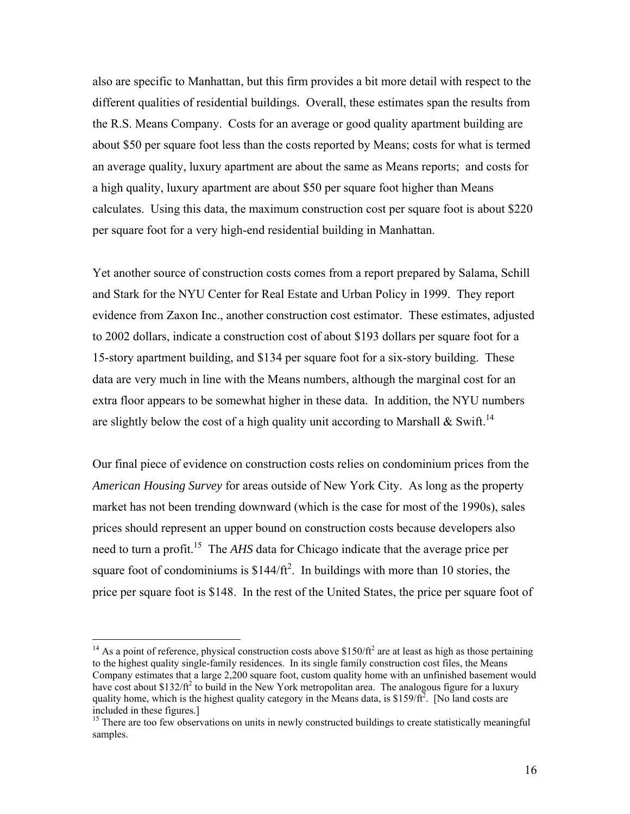also are specific to Manhattan, but this firm provides a bit more detail with respect to the different qualities of residential buildings. Overall, these estimates span the results from the R.S. Means Company. Costs for an average or good quality apartment building are about \$50 per square foot less than the costs reported by Means; costs for what is termed an average quality, luxury apartment are about the same as Means reports; and costs for a high quality, luxury apartment are about \$50 per square foot higher than Means calculates. Using this data, the maximum construction cost per square foot is about \$220 per square foot for a very high-end residential building in Manhattan.

Yet another source of construction costs comes from a report prepared by Salama, Schill and Stark for the NYU Center for Real Estate and Urban Policy in 1999. They report evidence from Zaxon Inc., another construction cost estimator. These estimates, adjusted to 2002 dollars, indicate a construction cost of about \$193 dollars per square foot for a 15-story apartment building, and \$134 per square foot for a six-story building. These data are very much in line with the Means numbers, although the marginal cost for an extra floor appears to be somewhat higher in these data. In addition, the NYU numbers are slightly below the cost of a high quality unit according to Marshall  $\&$  Swift.<sup>14</sup>

Our final piece of evidence on construction costs relies on condominium prices from the *American Housing Survey* for areas outside of New York City. As long as the property market has not been trending downward (which is the case for most of the 1990s), sales prices should represent an upper bound on construction costs because developers also need to turn a profit.<sup>15</sup> The *AHS* data for Chicago indicate that the average price per square foot of condominiums is  $$144/ft^2$ . In buildings with more than 10 stories, the price per square foot is \$148. In the rest of the United States, the price per square foot of

1

<sup>&</sup>lt;sup>14</sup> As a point of reference, physical construction costs above \$150/ $\text{ft}^2$  are at least as high as those pertaining to the highest quality single-family residences. In its single family construction cost files, the Means Company estimates that a large 2,200 square foot, custom quality home with an unfinished basement would have cost about \$132/ft<sup>2</sup> to build in the New York metropolitan area. The analogous figure for a luxury quality home, which is the highest quality category in the Means data, is \$159/ $\pi^2$ . [No land costs are included in these figures.]

<sup>&</sup>lt;sup>15</sup> There are too few observations on units in newly constructed buildings to create statistically meaningful samples.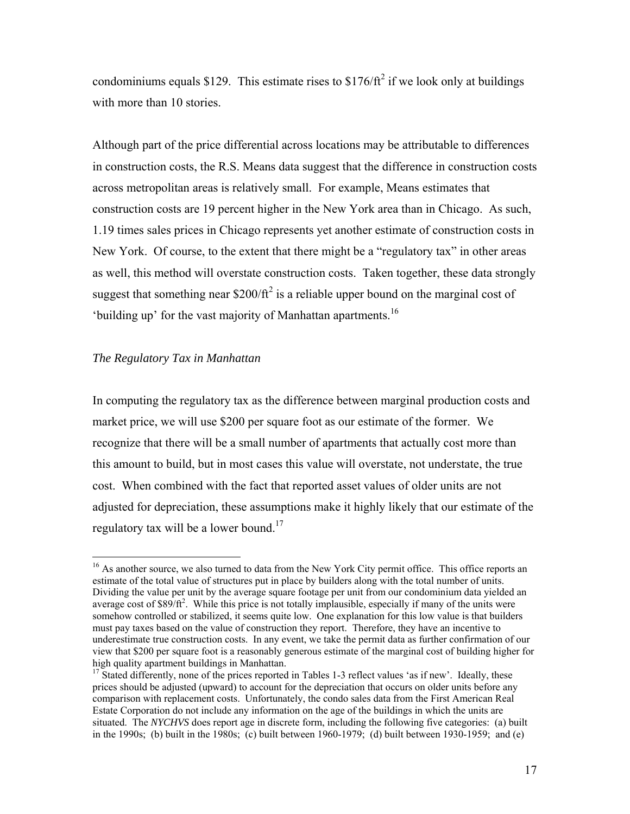condominiums equals \$129. This estimate rises to  $$176/ft<sup>2</sup>$  if we look only at buildings with more than 10 stories.

Although part of the price differential across locations may be attributable to differences in construction costs, the R.S. Means data suggest that the difference in construction costs across metropolitan areas is relatively small. For example, Means estimates that construction costs are 19 percent higher in the New York area than in Chicago. As such, 1.19 times sales prices in Chicago represents yet another estimate of construction costs in New York. Of course, to the extent that there might be a "regulatory tax" in other areas as well, this method will overstate construction costs. Taken together, these data strongly suggest that something near  $$200/ft^2$  is a reliable upper bound on the marginal cost of 'building up' for the vast majority of Manhattan apartments.<sup>16</sup>

## *The Regulatory Tax in Manhattan*

 $\overline{a}$ 

In computing the regulatory tax as the difference between marginal production costs and market price, we will use \$200 per square foot as our estimate of the former. We recognize that there will be a small number of apartments that actually cost more than this amount to build, but in most cases this value will overstate, not understate, the true cost. When combined with the fact that reported asset values of older units are not adjusted for depreciation, these assumptions make it highly likely that our estimate of the regulatory tax will be a lower bound.<sup>17</sup>

<sup>&</sup>lt;sup>16</sup> As another source, we also turned to data from the New York City permit office. This office reports an estimate of the total value of structures put in place by builders along with the total number of units. Dividing the value per unit by the average square footage per unit from our condominium data yielded an average cost of \$89/ft<sup>2</sup>. While this price is not totally implausible, especially if many of the units were somehow controlled or stabilized, it seems quite low. One explanation for this low value is that builders must pay taxes based on the value of construction they report. Therefore, they have an incentive to underestimate true construction costs. In any event, we take the permit data as further confirmation of our view that \$200 per square foot is a reasonably generous estimate of the marginal cost of building higher for high quality apartment buildings in Manhattan.

<sup>&</sup>lt;sup>17</sup> Stated differently, none of the prices reported in Tables 1-3 reflect values 'as if new'. Ideally, these prices should be adjusted (upward) to account for the depreciation that occurs on older units before any comparison with replacement costs. Unfortunately, the condo sales data from the First American Real Estate Corporation do not include any information on the age of the buildings in which the units are situated. The *NYCHVS* does report age in discrete form, including the following five categories: (a) built in the 1990s; (b) built in the 1980s; (c) built between 1960-1979; (d) built between 1930-1959; and (e)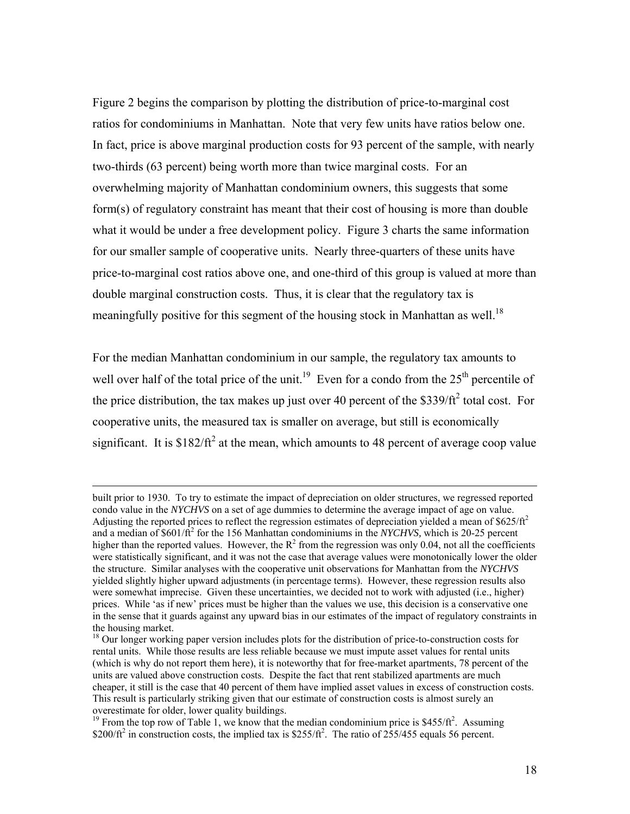Figure 2 begins the comparison by plotting the distribution of price-to-marginal cost ratios for condominiums in Manhattan. Note that very few units have ratios below one. In fact, price is above marginal production costs for 93 percent of the sample, with nearly two-thirds (63 percent) being worth more than twice marginal costs. For an overwhelming majority of Manhattan condominium owners, this suggests that some form(s) of regulatory constraint has meant that their cost of housing is more than double what it would be under a free development policy. Figure 3 charts the same information for our smaller sample of cooperative units. Nearly three-quarters of these units have price-to-marginal cost ratios above one, and one-third of this group is valued at more than double marginal construction costs. Thus, it is clear that the regulatory tax is meaningfully positive for this segment of the housing stock in Manhattan as well.<sup>18</sup>

For the median Manhattan condominium in our sample, the regulatory tax amounts to well over half of the total price of the unit.<sup>19</sup> Even for a condo from the  $25<sup>th</sup>$  percentile of the price distribution, the tax makes up just over 40 percent of the  $$339/ft^2$  total cost. For cooperative units, the measured tax is smaller on average, but still is economically significant. It is  $$182/ft<sup>2</sup>$  at the mean, which amounts to 48 percent of average coop value

built prior to 1930. To try to estimate the impact of depreciation on older structures, we regressed reported condo value in the *NYCHVS* on a set of age dummies to determine the average impact of age on value. Adjusting the reported prices to reflect the regression estimates of depreciation yielded a mean of  $$625/ft^2$ and a median of \$601/ft<sup>2</sup> for the 156 Manhattan condominiums in the *NYCHVS*, which is 20-25 percent higher than the reported values. However, the  $R^2$  from the regression was only 0.04, not all the coefficients were statistically significant, and it was not the case that average values were monotonically lower the older the structure. Similar analyses with the cooperative unit observations for Manhattan from the *NYCHVS* yielded slightly higher upward adjustments (in percentage terms). However, these regression results also were somewhat imprecise. Given these uncertainties, we decided not to work with adjusted (i.e., higher) prices. While 'as if new' prices must be higher than the values we use, this decision is a conservative one in the sense that it guards against any upward bias in our estimates of the impact of regulatory constraints in the housing market.

<sup>&</sup>lt;sup>18</sup> Our longer working paper version includes plots for the distribution of price-to-construction costs for rental units. While those results are less reliable because we must impute asset values for rental units (which is why do not report them here), it is noteworthy that for free-market apartments, 78 percent of the units are valued above construction costs. Despite the fact that rent stabilized apartments are much cheaper, it still is the case that 40 percent of them have implied asset values in excess of construction costs. This result is particularly striking given that our estimate of construction costs is almost surely an overestimate for older, lower quality buildings.

<sup>&</sup>lt;sup>19</sup> From the top row of Table 1, we know that the median condominium price is \$455/ft<sup>2</sup>. Assuming  $$200/ft<sup>2</sup>$  in construction costs, the implied tax is  $$255/ft<sup>2</sup>$ . The ratio of  $255/455$  equals 56 percent.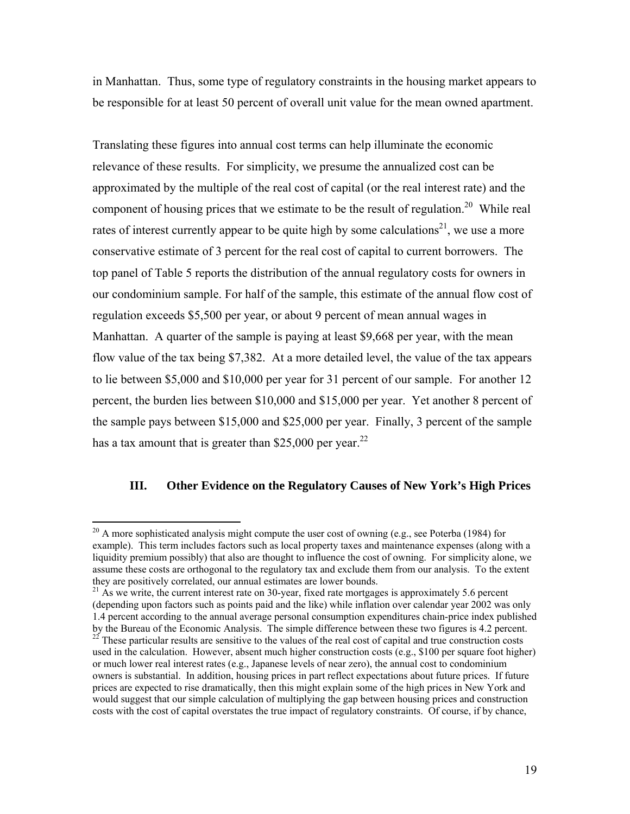in Manhattan. Thus, some type of regulatory constraints in the housing market appears to be responsible for at least 50 percent of overall unit value for the mean owned apartment.

Translating these figures into annual cost terms can help illuminate the economic relevance of these results. For simplicity, we presume the annualized cost can be approximated by the multiple of the real cost of capital (or the real interest rate) and the component of housing prices that we estimate to be the result of regulation.<sup>20</sup> While real rates of interest currently appear to be quite high by some calculations<sup>21</sup>, we use a more conservative estimate of 3 percent for the real cost of capital to current borrowers. The top panel of Table 5 reports the distribution of the annual regulatory costs for owners in our condominium sample. For half of the sample, this estimate of the annual flow cost of regulation exceeds \$5,500 per year, or about 9 percent of mean annual wages in Manhattan. A quarter of the sample is paying at least \$9,668 per year, with the mean flow value of the tax being \$7,382. At a more detailed level, the value of the tax appears to lie between \$5,000 and \$10,000 per year for 31 percent of our sample. For another 12 percent, the burden lies between \$10,000 and \$15,000 per year. Yet another 8 percent of the sample pays between \$15,000 and \$25,000 per year. Finally, 3 percent of the sample has a tax amount that is greater than \$25,000 per year.<sup>22</sup>

#### **III. Other Evidence on the Regulatory Causes of New York's High Prices**

1

 $20$  A more sophisticated analysis might compute the user cost of owning (e.g., see Poterba (1984) for example). This term includes factors such as local property taxes and maintenance expenses (along with a liquidity premium possibly) that also are thought to influence the cost of owning. For simplicity alone, we assume these costs are orthogonal to the regulatory tax and exclude them from our analysis. To the extent they are positively correlated, our annual estimates are lower bounds.

<sup>&</sup>lt;sup>21</sup> As we write, the current interest rate on 30-year, fixed rate mortgages is approximately 5.6 percent (depending upon factors such as points paid and the like) while inflation over calendar year 2002 was only 1.4 percent according to the annual average personal consumption expenditures chain-price index published by the Bureau of the Economic Analysis. The simple difference between these two figures is 4.2 percent.  $2^{27}$  These particular results are sensitive to the values of the real cost of capital and true construction costs used in the calculation. However, absent much higher construction costs (e.g., \$100 per square foot higher) or much lower real interest rates (e.g., Japanese levels of near zero), the annual cost to condominium owners is substantial. In addition, housing prices in part reflect expectations about future prices. If future prices are expected to rise dramatically, then this might explain some of the high prices in New York and would suggest that our simple calculation of multiplying the gap between housing prices and construction costs with the cost of capital overstates the true impact of regulatory constraints. Of course, if by chance,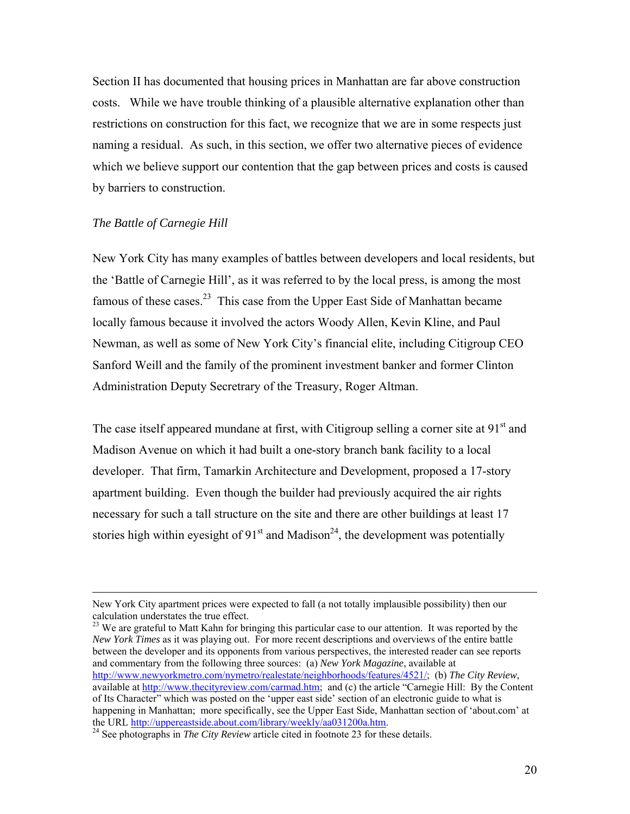Section II has documented that housing prices in Manhattan are far above construction costs. While we have trouble thinking of a plausible alternative explanation other than restrictions on construction for this fact, we recognize that we are in some respects just naming a residual. As such, in this section, we offer two alternative pieces of evidence which we believe support our contention that the gap between prices and costs is caused by barriers to construction.

## *The Battle of Carnegie Hill*

New York City has many examples of battles between developers and local residents, but the 'Battle of Carnegie Hill', as it was referred to by the local press, is among the most famous of these cases.<sup>23</sup> This case from the Upper East Side of Manhattan became locally famous because it involved the actors Woody Allen, Kevin Kline, and Paul Newman, as well as some of New York City's financial elite, including Citigroup CEO Sanford Weill and the family of the prominent investment banker and former Clinton Administration Deputy Secretrary of the Treasury, Roger Altman.

The case itself appeared mundane at first, with Citigroup selling a corner site at  $91<sup>st</sup>$  and Madison Avenue on which it had built a one-story branch bank facility to a local developer. That firm, Tamarkin Architecture and Development, proposed a 17-story apartment building. Even though the builder had previously acquired the air rights necessary for such a tall structure on the site and there are other buildings at least 17 stories high within eyesight of 91<sup>st</sup> and Madison<sup>24</sup>, the development was potentially

<sup>23</sup> We are grateful to Matt Kahn for bringing this particular case to our attention. It was reported by the *New York Times* as it was playing out. For more recent descriptions and overviews of the entire battle between the developer and its opponents from various perspectives, the interested reader can see reports and commentary from the following three sources: (a) *New York Magazine*, available at http://www.newyorkmetro.com/nymetro/realestate/neighborhoods/features/4521/; (b) *The City Review*, available at http://www.thecityreview.com/carmad.htm; and (c) the article "Carnegie Hill: By the Content of Its Character" which was posted on the 'upper east side' section of an electronic guide to what is happening in Manhattan; more specifically, see the Upper East Side, Manhattan section of 'about.com' at the URL http://uppereastside.about.com/library/weekly/aa031200a.htm.<br><sup>24</sup> See photographs in *The City Review* article cited in footnote 23 for these details.

New York City apartment prices were expected to fall (a not totally implausible possibility) then our calculation understates the true effect.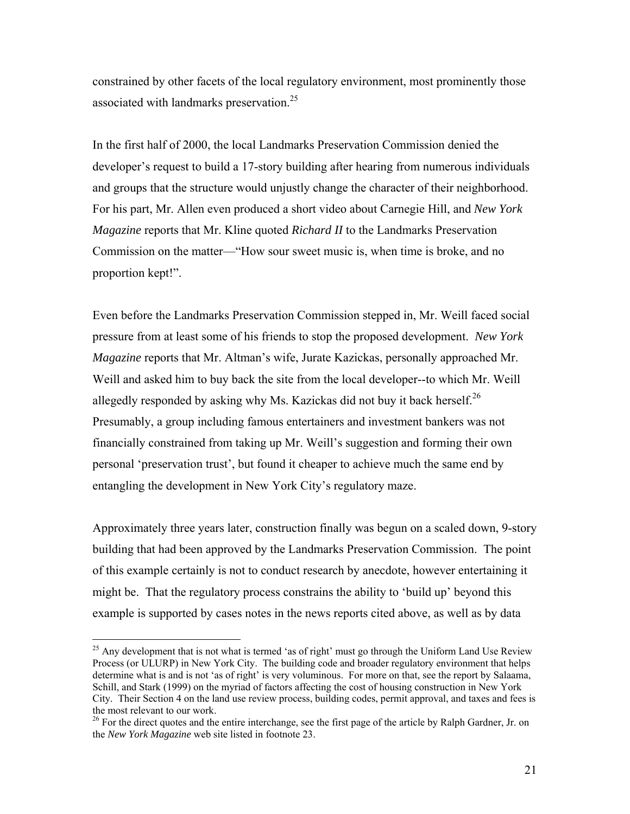constrained by other facets of the local regulatory environment, most prominently those associated with landmarks preservation.<sup>25</sup>

In the first half of 2000, the local Landmarks Preservation Commission denied the developer's request to build a 17-story building after hearing from numerous individuals and groups that the structure would unjustly change the character of their neighborhood. For his part, Mr. Allen even produced a short video about Carnegie Hill, and *New York Magazine* reports that Mr. Kline quoted *Richard II* to the Landmarks Preservation Commission on the matter—"How sour sweet music is, when time is broke, and no proportion kept!".

Even before the Landmarks Preservation Commission stepped in, Mr. Weill faced social pressure from at least some of his friends to stop the proposed development. *New York Magazine* reports that Mr. Altman's wife, Jurate Kazickas, personally approached Mr. Weill and asked him to buy back the site from the local developer--to which Mr. Weill allegedly responded by asking why Ms. Kazickas did not buy it back herself.<sup>26</sup> Presumably, a group including famous entertainers and investment bankers was not financially constrained from taking up Mr. Weill's suggestion and forming their own personal 'preservation trust', but found it cheaper to achieve much the same end by entangling the development in New York City's regulatory maze.

Approximately three years later, construction finally was begun on a scaled down, 9-story building that had been approved by the Landmarks Preservation Commission. The point of this example certainly is not to conduct research by anecdote, however entertaining it might be. That the regulatory process constrains the ability to 'build up' beyond this example is supported by cases notes in the news reports cited above, as well as by data

<sup>&</sup>lt;sup>25</sup> Any development that is not what is termed 'as of right' must go through the Uniform Land Use Review Process (or ULURP) in New York City. The building code and broader regulatory environment that helps determine what is and is not 'as of right' is very voluminous. For more on that, see the report by Salaama, Schill, and Stark (1999) on the myriad of factors affecting the cost of housing construction in New York City. Their Section 4 on the land use review process, building codes, permit approval, and taxes and fees is the most relevant to our work.

<sup>&</sup>lt;sup>26</sup> For the direct quotes and the entire interchange, see the first page of the article by Ralph Gardner, Jr. on the *New York Magazine* web site listed in footnote 23.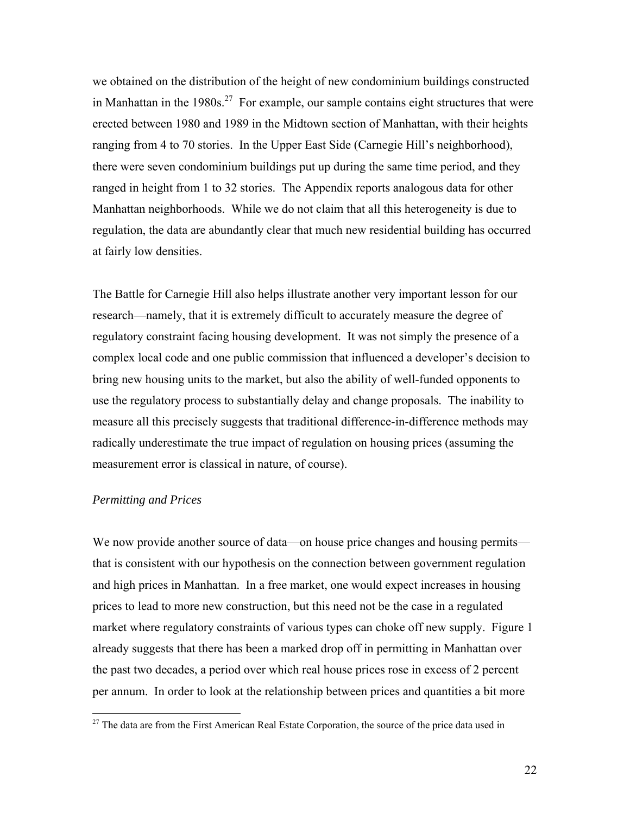we obtained on the distribution of the height of new condominium buildings constructed in Manhattan in the  $1980s^{27}$  For example, our sample contains eight structures that were erected between 1980 and 1989 in the Midtown section of Manhattan, with their heights ranging from 4 to 70 stories. In the Upper East Side (Carnegie Hill's neighborhood), there were seven condominium buildings put up during the same time period, and they ranged in height from 1 to 32 stories. The Appendix reports analogous data for other Manhattan neighborhoods. While we do not claim that all this heterogeneity is due to regulation, the data are abundantly clear that much new residential building has occurred at fairly low densities.

The Battle for Carnegie Hill also helps illustrate another very important lesson for our research—namely, that it is extremely difficult to accurately measure the degree of regulatory constraint facing housing development. It was not simply the presence of a complex local code and one public commission that influenced a developer's decision to bring new housing units to the market, but also the ability of well-funded opponents to use the regulatory process to substantially delay and change proposals. The inability to measure all this precisely suggests that traditional difference-in-difference methods may radically underestimate the true impact of regulation on housing prices (assuming the measurement error is classical in nature, of course).

## *Permitting and Prices*

 $\overline{a}$ 

We now provide another source of data—on house price changes and housing permits that is consistent with our hypothesis on the connection between government regulation and high prices in Manhattan. In a free market, one would expect increases in housing prices to lead to more new construction, but this need not be the case in a regulated market where regulatory constraints of various types can choke off new supply. Figure 1 already suggests that there has been a marked drop off in permitting in Manhattan over the past two decades, a period over which real house prices rose in excess of 2 percent per annum. In order to look at the relationship between prices and quantities a bit more

 $27$  The data are from the First American Real Estate Corporation, the source of the price data used in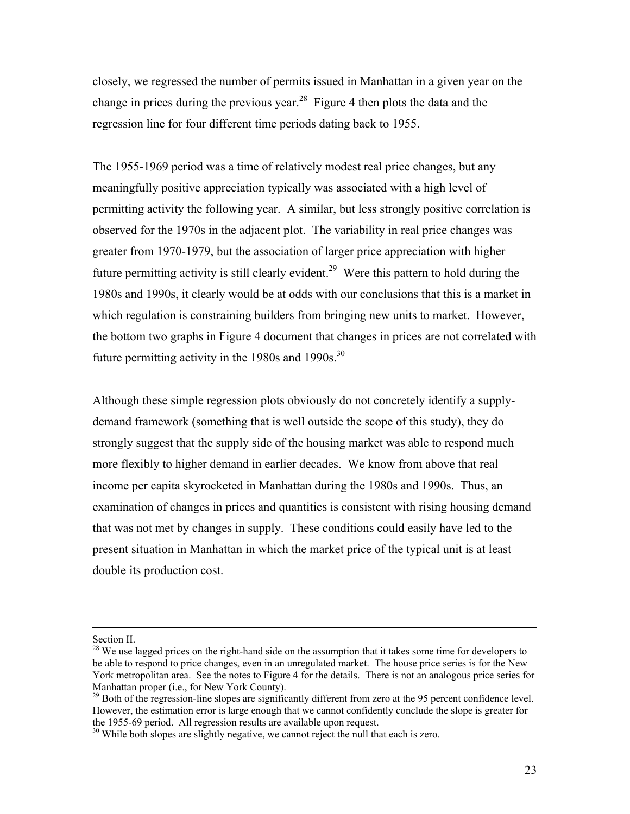closely, we regressed the number of permits issued in Manhattan in a given year on the change in prices during the previous year.<sup>28</sup> Figure 4 then plots the data and the regression line for four different time periods dating back to 1955.

The 1955-1969 period was a time of relatively modest real price changes, but any meaningfully positive appreciation typically was associated with a high level of permitting activity the following year. A similar, but less strongly positive correlation is observed for the 1970s in the adjacent plot. The variability in real price changes was greater from 1970-1979, but the association of larger price appreciation with higher future permitting activity is still clearly evident.<sup>29</sup> Were this pattern to hold during the 1980s and 1990s, it clearly would be at odds with our conclusions that this is a market in which regulation is constraining builders from bringing new units to market. However, the bottom two graphs in Figure 4 document that changes in prices are not correlated with future permitting activity in the 1980s and 1990s. $^{30}$ 

Although these simple regression plots obviously do not concretely identify a supplydemand framework (something that is well outside the scope of this study), they do strongly suggest that the supply side of the housing market was able to respond much more flexibly to higher demand in earlier decades. We know from above that real income per capita skyrocketed in Manhattan during the 1980s and 1990s. Thus, an examination of changes in prices and quantities is consistent with rising housing demand that was not met by changes in supply. These conditions could easily have led to the present situation in Manhattan in which the market price of the typical unit is at least double its production cost.

Section II.

<sup>&</sup>lt;sup>28</sup> We use lagged prices on the right-hand side on the assumption that it takes some time for developers to be able to respond to price changes, even in an unregulated market. The house price series is for the New York metropolitan area. See the notes to Figure 4 for the details. There is not an analogous price series for Manhattan proper (i.e., for New York County).

<sup>&</sup>lt;sup>29</sup> Both of the regression-line slopes are significantly different from zero at the 95 percent confidence level. However, the estimation error is large enough that we cannot confidently conclude the slope is greater for the 1955-69 period. All regression results are available upon request.

<sup>&</sup>lt;sup>30</sup> While both slopes are slightly negative, we cannot reject the null that each is zero.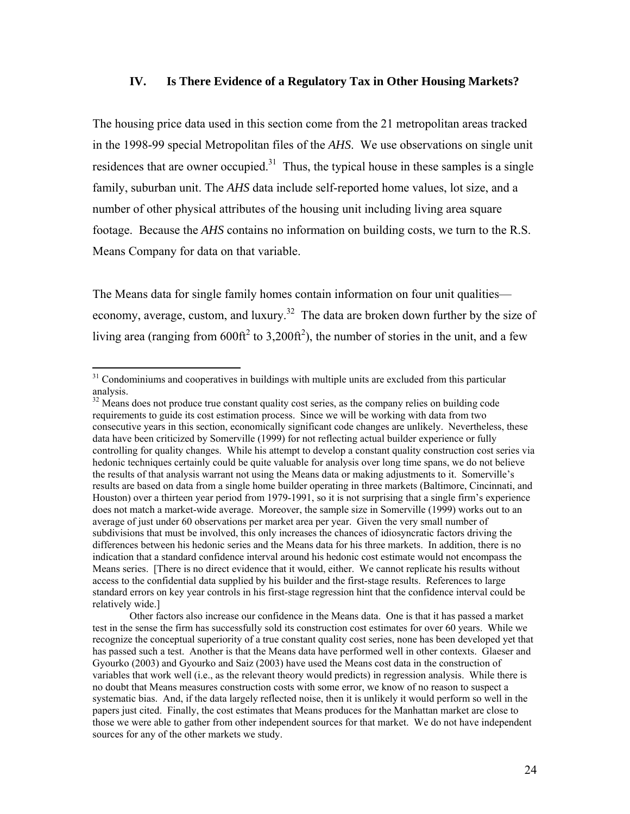## **IV. Is There Evidence of a Regulatory Tax in Other Housing Markets?**

The housing price data used in this section come from the 21 metropolitan areas tracked in the 1998-99 special Metropolitan files of the *AHS*. We use observations on single unit residences that are owner occupied.<sup>31</sup> Thus, the typical house in these samples is a single family, suburban unit. The *AHS* data include self-reported home values, lot size, and a number of other physical attributes of the housing unit including living area square footage. Because the *AHS* contains no information on building costs, we turn to the R.S. Means Company for data on that variable.

The Means data for single family homes contain information on four unit qualities economy, average, custom, and luxury.<sup>32</sup> The data are broken down further by the size of living area (ranging from  $600 \text{ft}^2$  to  $3,200 \text{ft}^2$ ), the number of stories in the unit, and a few

 $31$  Condominiums and cooperatives in buildings with multiple units are excluded from this particular analysis.

 $32$  Means does not produce true constant quality cost series, as the company relies on building code requirements to guide its cost estimation process. Since we will be working with data from two consecutive years in this section, economically significant code changes are unlikely. Nevertheless, these data have been criticized by Somerville (1999) for not reflecting actual builder experience or fully controlling for quality changes. While his attempt to develop a constant quality construction cost series via hedonic techniques certainly could be quite valuable for analysis over long time spans, we do not believe the results of that analysis warrant not using the Means data or making adjustments to it. Somerville's results are based on data from a single home builder operating in three markets (Baltimore, Cincinnati, and Houston) over a thirteen year period from 1979-1991, so it is not surprising that a single firm's experience does not match a market-wide average. Moreover, the sample size in Somerville (1999) works out to an average of just under 60 observations per market area per year. Given the very small number of subdivisions that must be involved, this only increases the chances of idiosyncratic factors driving the differences between his hedonic series and the Means data for his three markets. In addition, there is no indication that a standard confidence interval around his hedonic cost estimate would not encompass the Means series. [There is no direct evidence that it would, either. We cannot replicate his results without access to the confidential data supplied by his builder and the first-stage results. References to large standard errors on key year controls in his first-stage regression hint that the confidence interval could be relatively wide.]

Other factors also increase our confidence in the Means data. One is that it has passed a market test in the sense the firm has successfully sold its construction cost estimates for over 60 years. While we recognize the conceptual superiority of a true constant quality cost series, none has been developed yet that has passed such a test. Another is that the Means data have performed well in other contexts. Glaeser and Gyourko (2003) and Gyourko and Saiz (2003) have used the Means cost data in the construction of variables that work well (i.e., as the relevant theory would predicts) in regression analysis. While there is no doubt that Means measures construction costs with some error, we know of no reason to suspect a systematic bias. And, if the data largely reflected noise, then it is unlikely it would perform so well in the papers just cited. Finally, the cost estimates that Means produces for the Manhattan market are close to those we were able to gather from other independent sources for that market. We do not have independent sources for any of the other markets we study.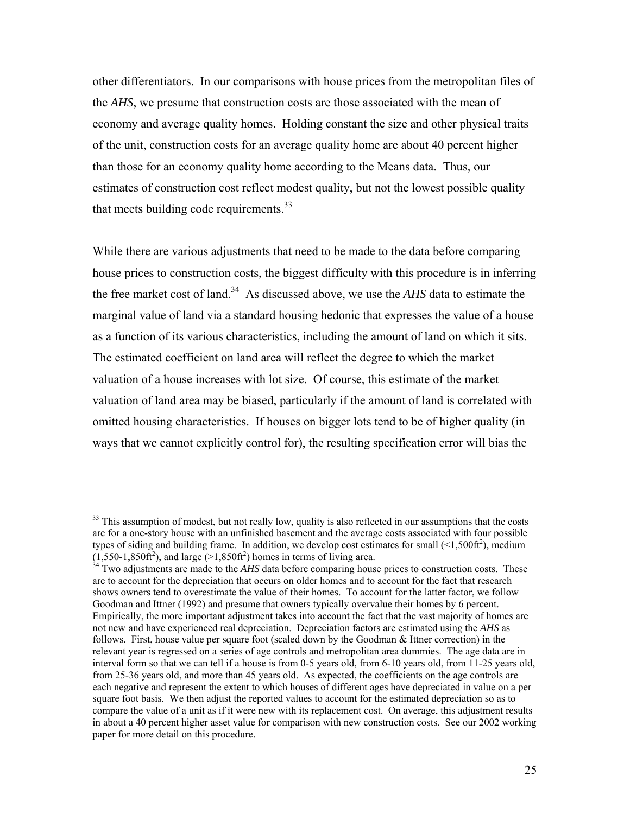other differentiators. In our comparisons with house prices from the metropolitan files of the *AHS*, we presume that construction costs are those associated with the mean of economy and average quality homes. Holding constant the size and other physical traits of the unit, construction costs for an average quality home are about 40 percent higher than those for an economy quality home according to the Means data. Thus, our estimates of construction cost reflect modest quality, but not the lowest possible quality that meets building code requirements.<sup>33</sup>

While there are various adjustments that need to be made to the data before comparing house prices to construction costs, the biggest difficulty with this procedure is in inferring the free market cost of land.34 As discussed above, we use the *AHS* data to estimate the marginal value of land via a standard housing hedonic that expresses the value of a house as a function of its various characteristics, including the amount of land on which it sits. The estimated coefficient on land area will reflect the degree to which the market valuation of a house increases with lot size. Of course, this estimate of the market valuation of land area may be biased, particularly if the amount of land is correlated with omitted housing characteristics. If houses on bigger lots tend to be of higher quality (in ways that we cannot explicitly control for), the resulting specification error will bias the

1

 $33$  This assumption of modest, but not really low, quality is also reflected in our assumptions that the costs are for a one-story house with an unfinished basement and the average costs associated with four possible types of siding and building frame. In addition, we develop cost estimates for small  $(\leq 1,500\text{ft}^2)$ , medium  $(1,550-1,850\text{ft}^2)$ , and large (>1,850ft<sup>2</sup>) homes in terms of living area.<br><sup>34</sup> Two adjustments are made to the *AHS* data before comparing house prices to construction costs. These

are to account for the depreciation that occurs on older homes and to account for the fact that research shows owners tend to overestimate the value of their homes. To account for the latter factor, we follow Goodman and Ittner (1992) and presume that owners typically overvalue their homes by 6 percent. Empirically, the more important adjustment takes into account the fact that the vast majority of homes are not new and have experienced real depreciation. Depreciation factors are estimated using the *AHS* as follows*.* First, house value per square foot (scaled down by the Goodman & Ittner correction) in the relevant year is regressed on a series of age controls and metropolitan area dummies. The age data are in interval form so that we can tell if a house is from 0-5 years old, from 6-10 years old, from 11-25 years old, from 25-36 years old, and more than 45 years old. As expected, the coefficients on the age controls are each negative and represent the extent to which houses of different ages have depreciated in value on a per square foot basis. We then adjust the reported values to account for the estimated depreciation so as to compare the value of a unit as if it were new with its replacement cost. On average, this adjustment results in about a 40 percent higher asset value for comparison with new construction costs. See our 2002 working paper for more detail on this procedure.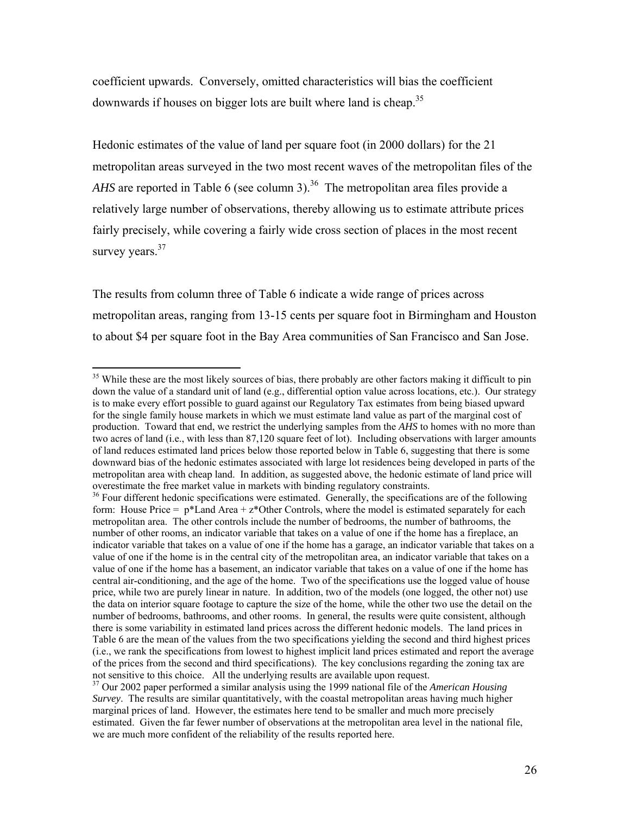coefficient upwards. Conversely, omitted characteristics will bias the coefficient downwards if houses on bigger lots are built where land is cheap.<sup>35</sup>

Hedonic estimates of the value of land per square foot (in 2000 dollars) for the 21 metropolitan areas surveyed in the two most recent waves of the metropolitan files of the *AHS* are reported in Table 6 (see column 3).<sup>36</sup> The metropolitan area files provide a relatively large number of observations, thereby allowing us to estimate attribute prices fairly precisely, while covering a fairly wide cross section of places in the most recent survey years.<sup>37</sup>

The results from column three of Table 6 indicate a wide range of prices across metropolitan areas, ranging from 13-15 cents per square foot in Birmingham and Houston to about \$4 per square foot in the Bay Area communities of San Francisco and San Jose.

<sup>&</sup>lt;sup>35</sup> While these are the most likely sources of bias, there probably are other factors making it difficult to pin down the value of a standard unit of land (e.g., differential option value across locations, etc.). Our strategy is to make every effort possible to guard against our Regulatory Tax estimates from being biased upward for the single family house markets in which we must estimate land value as part of the marginal cost of production. Toward that end, we restrict the underlying samples from the *AHS* to homes with no more than two acres of land (i.e., with less than 87,120 square feet of lot). Including observations with larger amounts of land reduces estimated land prices below those reported below in Table 6, suggesting that there is some downward bias of the hedonic estimates associated with large lot residences being developed in parts of the metropolitan area with cheap land. In addition, as suggested above, the hedonic estimate of land price will overestimate the free market value in markets with binding regulatory constraints. 36 Four different hedonic specifications were estimated. Generally, the specifications are of the following

form: House Price  $= p*L$  and Area  $+ z*$ Other Controls, where the model is estimated separately for each metropolitan area. The other controls include the number of bedrooms, the number of bathrooms, the number of other rooms, an indicator variable that takes on a value of one if the home has a fireplace, an indicator variable that takes on a value of one if the home has a garage, an indicator variable that takes on a value of one if the home is in the central city of the metropolitan area, an indicator variable that takes on a value of one if the home has a basement, an indicator variable that takes on a value of one if the home has central air-conditioning, and the age of the home. Two of the specifications use the logged value of house price, while two are purely linear in nature. In addition, two of the models (one logged, the other not) use the data on interior square footage to capture the size of the home, while the other two use the detail on the number of bedrooms, bathrooms, and other rooms. In general, the results were quite consistent, although there is some variability in estimated land prices across the different hedonic models. The land prices in Table 6 are the mean of the values from the two specifications yielding the second and third highest prices (i.e., we rank the specifications from lowest to highest implicit land prices estimated and report the average of the prices from the second and third specifications). The key conclusions regarding the zoning tax are not sensitive to this choice. All the underlying results are available upon request.

<sup>37</sup> Our 2002 paper performed a similar analysis using the 1999 national file of the *American Housing Survey*. The results are similar quantitatively, with the coastal metropolitan areas having much higher marginal prices of land. However, the estimates here tend to be smaller and much more precisely estimated. Given the far fewer number of observations at the metropolitan area level in the national file, we are much more confident of the reliability of the results reported here.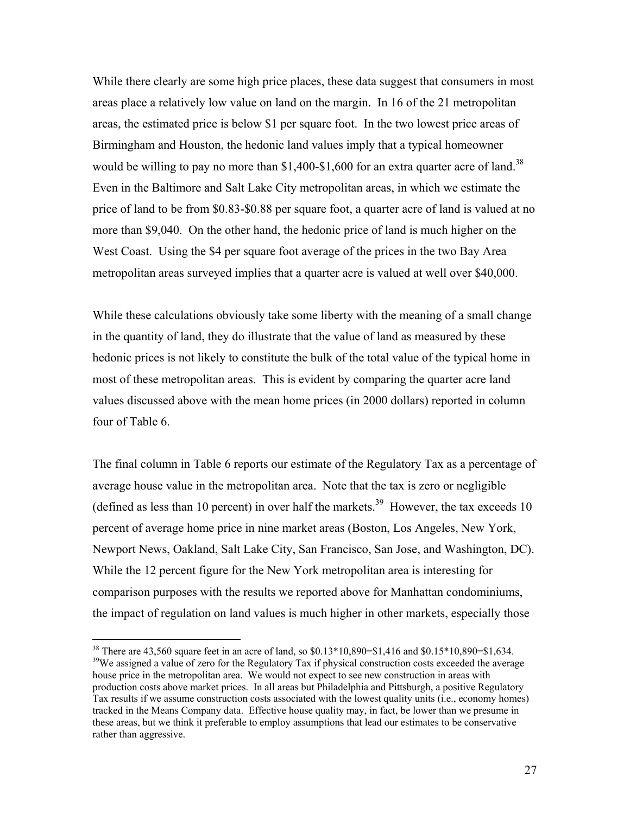While there clearly are some high price places, these data suggest that consumers in most areas place a relatively low value on land on the margin. In 16 of the 21 metropolitan areas, the estimated price is below \$1 per square foot. In the two lowest price areas of Birmingham and Houston, the hedonic land values imply that a typical homeowner would be willing to pay no more than \$1,400-\$1,600 for an extra quarter acre of land.<sup>38</sup> Even in the Baltimore and Salt Lake City metropolitan areas, in which we estimate the price of land to be from \$0.83-\$0.88 per square foot, a quarter acre of land is valued at no more than \$9,040. On the other hand, the hedonic price of land is much higher on the West Coast. Using the \$4 per square foot average of the prices in the two Bay Area metropolitan areas surveyed implies that a quarter acre is valued at well over \$40,000.

While these calculations obviously take some liberty with the meaning of a small change in the quantity of land, they do illustrate that the value of land as measured by these hedonic prices is not likely to constitute the bulk of the total value of the typical home in most of these metropolitan areas. This is evident by comparing the quarter acre land values discussed above with the mean home prices (in 2000 dollars) reported in column four of Table 6.

The final column in Table 6 reports our estimate of the Regulatory Tax as a percentage of average house value in the metropolitan area. Note that the tax is zero or negligible (defined as less than 10 percent) in over half the markets.<sup>39</sup> However, the tax exceeds 10 percent of average home price in nine market areas (Boston, Los Angeles, New York, Newport News, Oakland, Salt Lake City, San Francisco, San Jose, and Washington, DC). While the 12 percent figure for the New York metropolitan area is interesting for comparison purposes with the results we reported above for Manhattan condominiums, the impact of regulation on land values is much higher in other markets, especially those

<sup>38</sup> There are 43,560 square feet in an acre of land, so \$0.13\*10,890=\$1,416 and \$0.15\*10,890=\$1,634. <sup>39</sup>We assigned a value of zero for the Regulatory Tax if physical construction costs exceeded the average house price in the metropolitan area. We would not expect to see new construction in areas with production costs above market prices. In all areas but Philadelphia and Pittsburgh, a positive Regulatory Tax results if we assume construction costs associated with the lowest quality units (i.e., economy homes) tracked in the Means Company data. Effective house quality may, in fact, be lower than we presume in these areas, but we think it preferable to employ assumptions that lead our estimates to be conservative rather than aggressive.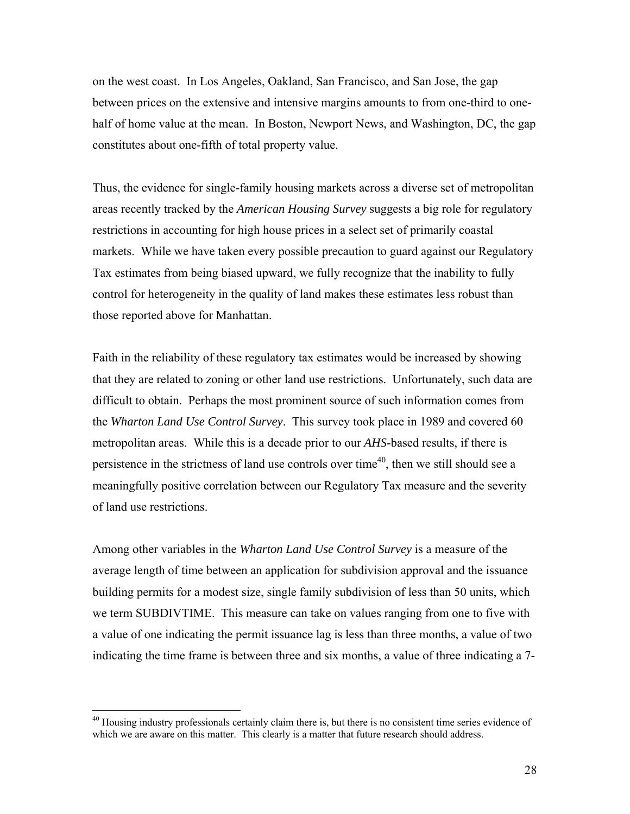on the west coast. In Los Angeles, Oakland, San Francisco, and San Jose, the gap between prices on the extensive and intensive margins amounts to from one-third to onehalf of home value at the mean. In Boston, Newport News, and Washington, DC, the gap constitutes about one-fifth of total property value.

Thus, the evidence for single-family housing markets across a diverse set of metropolitan areas recently tracked by the *American Housing Survey* suggests a big role for regulatory restrictions in accounting for high house prices in a select set of primarily coastal markets. While we have taken every possible precaution to guard against our Regulatory Tax estimates from being biased upward, we fully recognize that the inability to fully control for heterogeneity in the quality of land makes these estimates less robust than those reported above for Manhattan.

Faith in the reliability of these regulatory tax estimates would be increased by showing that they are related to zoning or other land use restrictions. Unfortunately, such data are difficult to obtain. Perhaps the most prominent source of such information comes from the *Wharton Land Use Control Survey*. This survey took place in 1989 and covered 60 metropolitan areas. While this is a decade prior to our *AHS*-based results, if there is persistence in the strictness of land use controls over time<sup>40</sup>, then we still should see a meaningfully positive correlation between our Regulatory Tax measure and the severity of land use restrictions.

Among other variables in the *Wharton Land Use Control Survey* is a measure of the average length of time between an application for subdivision approval and the issuance building permits for a modest size, single family subdivision of less than 50 units, which we term SUBDIVTIME. This measure can take on values ranging from one to five with a value of one indicating the permit issuance lag is less than three months, a value of two indicating the time frame is between three and six months, a value of three indicating a 7-

<sup>&</sup>lt;sup>40</sup> Housing industry professionals certainly claim there is, but there is no consistent time series evidence of which we are aware on this matter. This clearly is a matter that future research should address.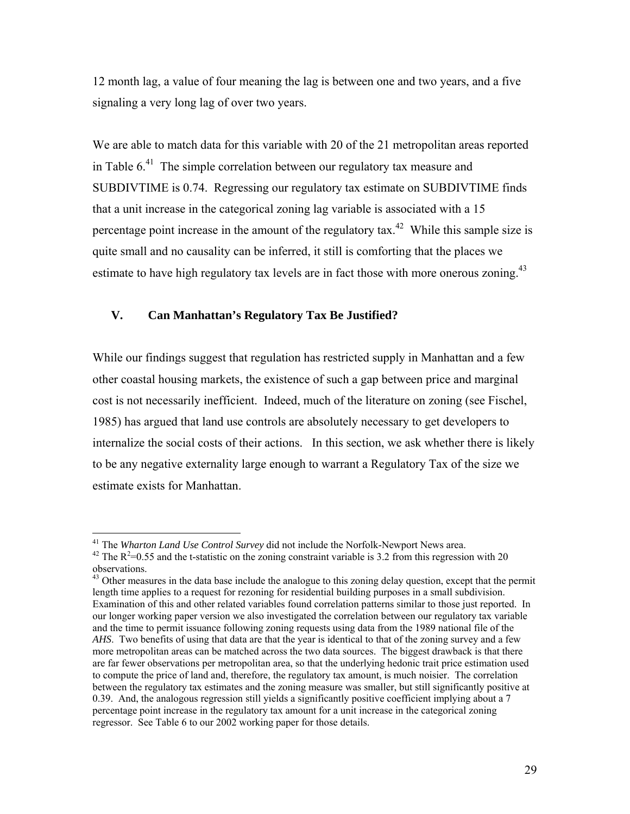12 month lag, a value of four meaning the lag is between one and two years, and a five signaling a very long lag of over two years.

We are able to match data for this variable with 20 of the 21 metropolitan areas reported in Table  $6<sup>41</sup>$ . The simple correlation between our regulatory tax measure and SUBDIVTIME is 0.74. Regressing our regulatory tax estimate on SUBDIVTIME finds that a unit increase in the categorical zoning lag variable is associated with a 15 percentage point increase in the amount of the regulatory tax.<sup>42</sup> While this sample size is quite small and no causality can be inferred, it still is comforting that the places we estimate to have high regulatory tax levels are in fact those with more onerous zoning.<sup>43</sup>

## **V. Can Manhattan's Regulatory Tax Be Justified?**

While our findings suggest that regulation has restricted supply in Manhattan and a few other coastal housing markets, the existence of such a gap between price and marginal cost is not necessarily inefficient. Indeed, much of the literature on zoning (see Fischel, 1985) has argued that land use controls are absolutely necessary to get developers to internalize the social costs of their actions. In this section, we ask whether there is likely to be any negative externality large enough to warrant a Regulatory Tax of the size we estimate exists for Manhattan.

<sup>&</sup>lt;sup>41</sup> The Wharton Land Use Control Survey did not include the Norfolk-Newport News area.

<sup>&</sup>lt;sup>41</sup> The *Wharton Land Use Control Survey* did not include the Norfolk-Newport News area.<br><sup>42</sup> The R<sup>2</sup>=0.55 and the t-statistic on the zoning constraint variable is 3.2 from this regression with 20 observations.

<sup>&</sup>lt;sup>43</sup> Other measures in the data base include the analogue to this zoning delay question, except that the permit length time applies to a request for rezoning for residential building purposes in a small subdivision. Examination of this and other related variables found correlation patterns similar to those just reported. In our longer working paper version we also investigated the correlation between our regulatory tax variable and the time to permit issuance following zoning requests using data from the 1989 national file of the *AHS*. Two benefits of using that data are that the year is identical to that of the zoning survey and a few more metropolitan areas can be matched across the two data sources. The biggest drawback is that there are far fewer observations per metropolitan area, so that the underlying hedonic trait price estimation used to compute the price of land and, therefore, the regulatory tax amount, is much noisier. The correlation between the regulatory tax estimates and the zoning measure was smaller, but still significantly positive at 0.39. And, the analogous regression still yields a significantly positive coefficient implying about a 7 percentage point increase in the regulatory tax amount for a unit increase in the categorical zoning regressor. See Table 6 to our 2002 working paper for those details.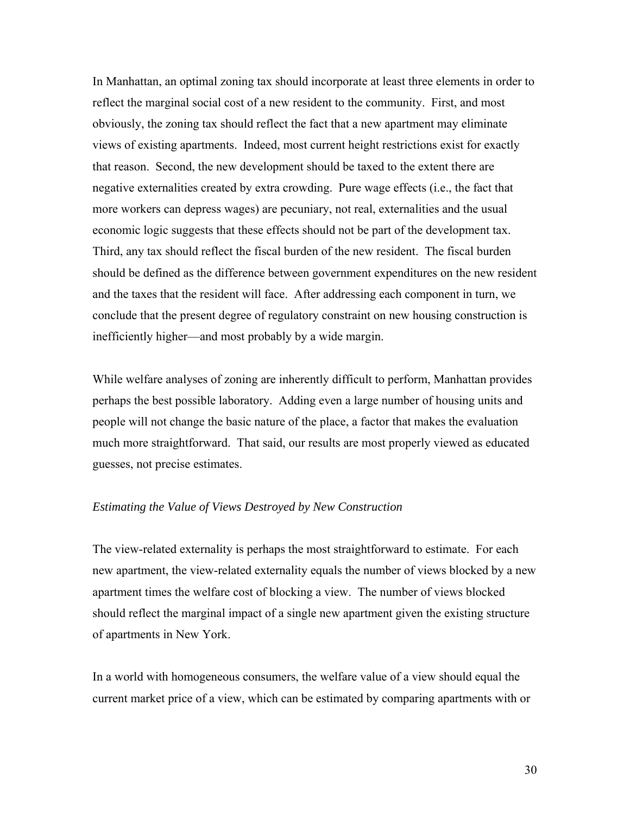In Manhattan, an optimal zoning tax should incorporate at least three elements in order to reflect the marginal social cost of a new resident to the community. First, and most obviously, the zoning tax should reflect the fact that a new apartment may eliminate views of existing apartments. Indeed, most current height restrictions exist for exactly that reason. Second, the new development should be taxed to the extent there are negative externalities created by extra crowding. Pure wage effects (i.e., the fact that more workers can depress wages) are pecuniary, not real, externalities and the usual economic logic suggests that these effects should not be part of the development tax. Third, any tax should reflect the fiscal burden of the new resident. The fiscal burden should be defined as the difference between government expenditures on the new resident and the taxes that the resident will face. After addressing each component in turn, we conclude that the present degree of regulatory constraint on new housing construction is inefficiently higher—and most probably by a wide margin.

While welfare analyses of zoning are inherently difficult to perform, Manhattan provides perhaps the best possible laboratory. Adding even a large number of housing units and people will not change the basic nature of the place, a factor that makes the evaluation much more straightforward. That said, our results are most properly viewed as educated guesses, not precise estimates.

#### *Estimating the Value of Views Destroyed by New Construction*

The view-related externality is perhaps the most straightforward to estimate. For each new apartment, the view-related externality equals the number of views blocked by a new apartment times the welfare cost of blocking a view. The number of views blocked should reflect the marginal impact of a single new apartment given the existing structure of apartments in New York.

In a world with homogeneous consumers, the welfare value of a view should equal the current market price of a view, which can be estimated by comparing apartments with or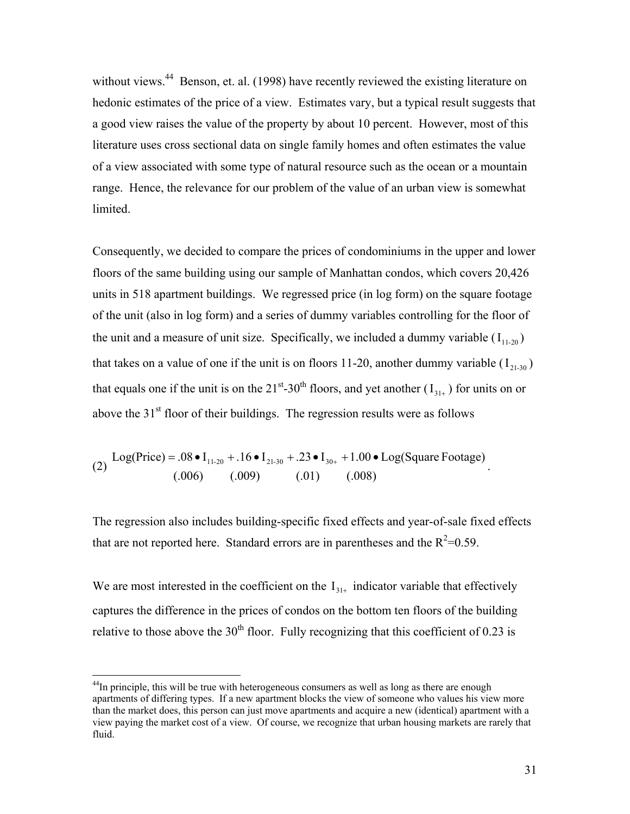without views.<sup>44</sup> Benson, et. al. (1998) have recently reviewed the existing literature on hedonic estimates of the price of a view. Estimates vary, but a typical result suggests that a good view raises the value of the property by about 10 percent. However, most of this literature uses cross sectional data on single family homes and often estimates the value of a view associated with some type of natural resource such as the ocean or a mountain range. Hence, the relevance for our problem of the value of an urban view is somewhat limited.

Consequently, we decided to compare the prices of condominiums in the upper and lower floors of the same building using our sample of Manhattan condos, which covers 20,426 units in 518 apartment buildings. We regressed price (in log form) on the square footage of the unit (also in log form) and a series of dummy variables controlling for the floor of the unit and a measure of unit size. Specifically, we included a dummy variable  $(I_{11-20})$ that takes on a value of one if the unit is on floors 11-20, another dummy variable  $(I_{21-30})$ that equals one if the unit is on the 21<sup>st</sup>-30<sup>th</sup> floors, and yet another  $(I_{31+})$  for units on or above the  $31<sup>st</sup>$  floor of their buildings. The regression results were as follows

(2) (.006) (.009) (.01) (.008) Log(Price) .08 <sup>I</sup> .16 <sup>I</sup> .23 <sup>I</sup> 1.00 Log(Square Footage) 11-20 21-30 <sup>30</sup> <sup>=</sup> • <sup>+</sup> • <sup>+</sup> • <sup>+</sup> • <sup>+</sup> .

The regression also includes building-specific fixed effects and year-of-sale fixed effects that are not reported here. Standard errors are in parentheses and the  $R^2$ =0.59.

We are most interested in the coefficient on the  $I_{31+}$  indicator variable that effectively captures the difference in the prices of condos on the bottom ten floors of the building relative to those above the  $30<sup>th</sup>$  floor. Fully recognizing that this coefficient of 0.23 is

1

 $<sup>44</sup>$ In principle, this will be true with heterogeneous consumers as well as long as there are enough</sup> apartments of differing types. If a new apartment blocks the view of someone who values his view more than the market does, this person can just move apartments and acquire a new (identical) apartment with a view paying the market cost of a view. Of course, we recognize that urban housing markets are rarely that fluid.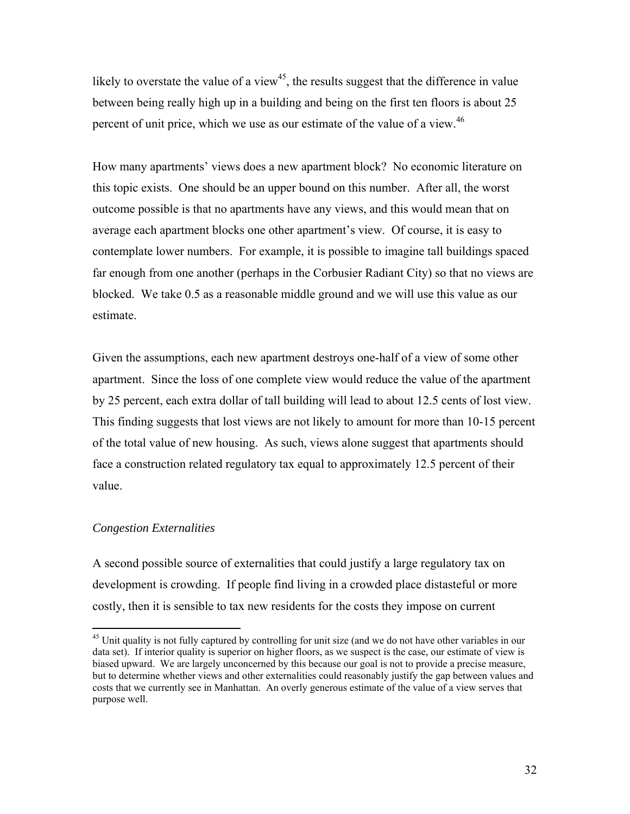likely to overstate the value of a view<sup>45</sup>, the results suggest that the difference in value between being really high up in a building and being on the first ten floors is about 25 percent of unit price, which we use as our estimate of the value of a view.<sup>46</sup>

How many apartments' views does a new apartment block? No economic literature on this topic exists. One should be an upper bound on this number. After all, the worst outcome possible is that no apartments have any views, and this would mean that on average each apartment blocks one other apartment's view. Of course, it is easy to contemplate lower numbers. For example, it is possible to imagine tall buildings spaced far enough from one another (perhaps in the Corbusier Radiant City) so that no views are blocked. We take 0.5 as a reasonable middle ground and we will use this value as our estimate.

Given the assumptions, each new apartment destroys one-half of a view of some other apartment. Since the loss of one complete view would reduce the value of the apartment by 25 percent, each extra dollar of tall building will lead to about 12.5 cents of lost view. This finding suggests that lost views are not likely to amount for more than 10-15 percent of the total value of new housing. As such, views alone suggest that apartments should face a construction related regulatory tax equal to approximately 12.5 percent of their value.

## *Congestion Externalities*

 $\overline{a}$ 

A second possible source of externalities that could justify a large regulatory tax on development is crowding. If people find living in a crowded place distasteful or more costly, then it is sensible to tax new residents for the costs they impose on current

<sup>&</sup>lt;sup>45</sup> Unit quality is not fully captured by controlling for unit size (and we do not have other variables in our data set). If interior quality is superior on higher floors, as we suspect is the case, our estimate of view is biased upward. We are largely unconcerned by this because our goal is not to provide a precise measure, but to determine whether views and other externalities could reasonably justify the gap between values and costs that we currently see in Manhattan. An overly generous estimate of the value of a view serves that purpose well.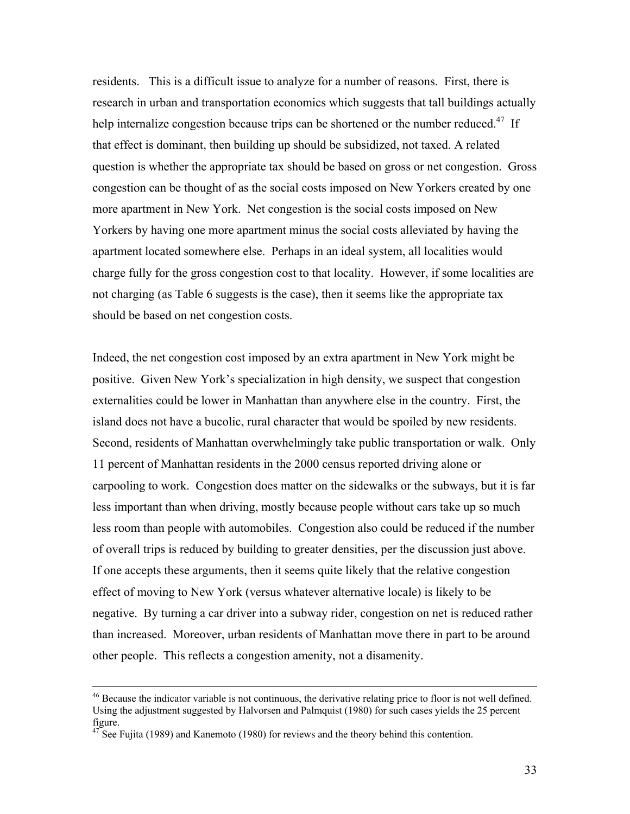residents. This is a difficult issue to analyze for a number of reasons. First, there is research in urban and transportation economics which suggests that tall buildings actually help internalize congestion because trips can be shortened or the number reduced.<sup>47</sup> If that effect is dominant, then building up should be subsidized, not taxed. A related question is whether the appropriate tax should be based on gross or net congestion. Gross congestion can be thought of as the social costs imposed on New Yorkers created by one more apartment in New York. Net congestion is the social costs imposed on New Yorkers by having one more apartment minus the social costs alleviated by having the apartment located somewhere else. Perhaps in an ideal system, all localities would charge fully for the gross congestion cost to that locality. However, if some localities are not charging (as Table 6 suggests is the case), then it seems like the appropriate tax should be based on net congestion costs.

Indeed, the net congestion cost imposed by an extra apartment in New York might be positive. Given New York's specialization in high density, we suspect that congestion externalities could be lower in Manhattan than anywhere else in the country. First, the island does not have a bucolic, rural character that would be spoiled by new residents. Second, residents of Manhattan overwhelmingly take public transportation or walk. Only 11 percent of Manhattan residents in the 2000 census reported driving alone or carpooling to work. Congestion does matter on the sidewalks or the subways, but it is far less important than when driving, mostly because people without cars take up so much less room than people with automobiles. Congestion also could be reduced if the number of overall trips is reduced by building to greater densities, per the discussion just above. If one accepts these arguments, then it seems quite likely that the relative congestion effect of moving to New York (versus whatever alternative locale) is likely to be negative. By turning a car driver into a subway rider, congestion on net is reduced rather than increased. Moreover, urban residents of Manhattan move there in part to be around other people. This reflects a congestion amenity, not a disamenity.

<sup>&</sup>lt;sup>46</sup> Because the indicator variable is not continuous, the derivative relating price to floor is not well defined. Using the adjustment suggested by Halvorsen and Palmquist (1980) for such cases yields the 25 percent figure.

See Fujita (1989) and Kanemoto (1980) for reviews and the theory behind this contention.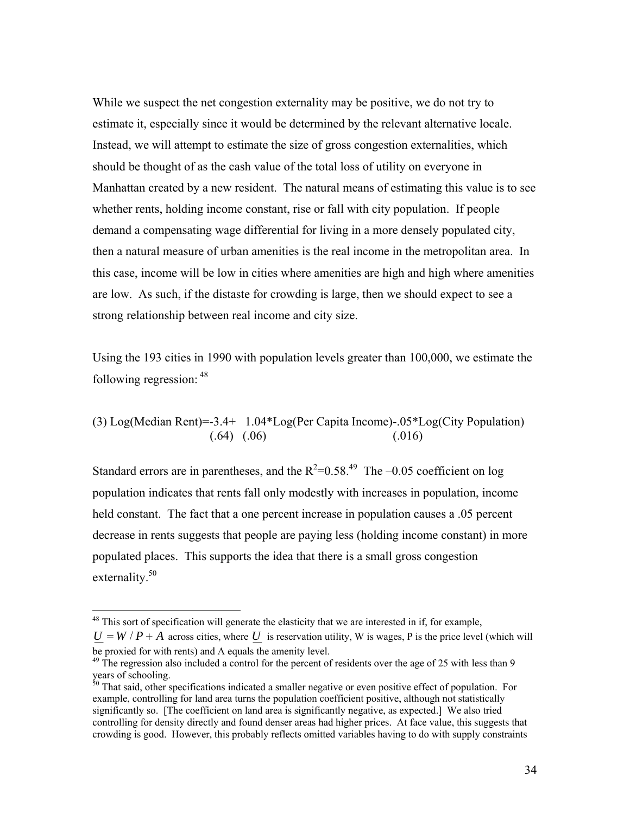While we suspect the net congestion externality may be positive, we do not try to estimate it, especially since it would be determined by the relevant alternative locale. Instead, we will attempt to estimate the size of gross congestion externalities, which should be thought of as the cash value of the total loss of utility on everyone in Manhattan created by a new resident. The natural means of estimating this value is to see whether rents, holding income constant, rise or fall with city population. If people demand a compensating wage differential for living in a more densely populated city, then a natural measure of urban amenities is the real income in the metropolitan area. In this case, income will be low in cities where amenities are high and high where amenities are low. As such, if the distaste for crowding is large, then we should expect to see a strong relationship between real income and city size.

Using the 193 cities in 1990 with population levels greater than 100,000, we estimate the following regression:  $48$ 

(3) Log(Median Rent)=-3.4+ 1.04\*Log(Per Capita Income)-.05\*Log(City Population)  $(.64)$   $(.06)$   $(.016)$ 

Standard errors are in parentheses, and the  $R^2=0.58$ .<sup>49</sup> The  $-0.05$  coefficient on log population indicates that rents fall only modestly with increases in population, income held constant. The fact that a one percent increase in population causes a .05 percent decrease in rents suggests that people are paying less (holding income constant) in more populated places. This supports the idea that there is a small gross congestion externality.<sup>50</sup>

1

 $48$  This sort of specification will generate the elasticity that we are interested in if, for example,

 $U = W / P + A$  across cities, where U is reservation utility, W is wages, P is the price level (which will be proxied for with rents) and A equals the amenity level.

 $^{49}$  The regression also included a control for the percent of residents over the age of 25 with less than 9 years of schooling.

<sup>&</sup>lt;sup>50</sup> That said, other specifications indicated a smaller negative or even positive effect of population. For example, controlling for land area turns the population coefficient positive, although not statistically significantly so. [The coefficient on land area is significantly negative, as expected.] We also tried controlling for density directly and found denser areas had higher prices. At face value, this suggests that crowding is good. However, this probably reflects omitted variables having to do with supply constraints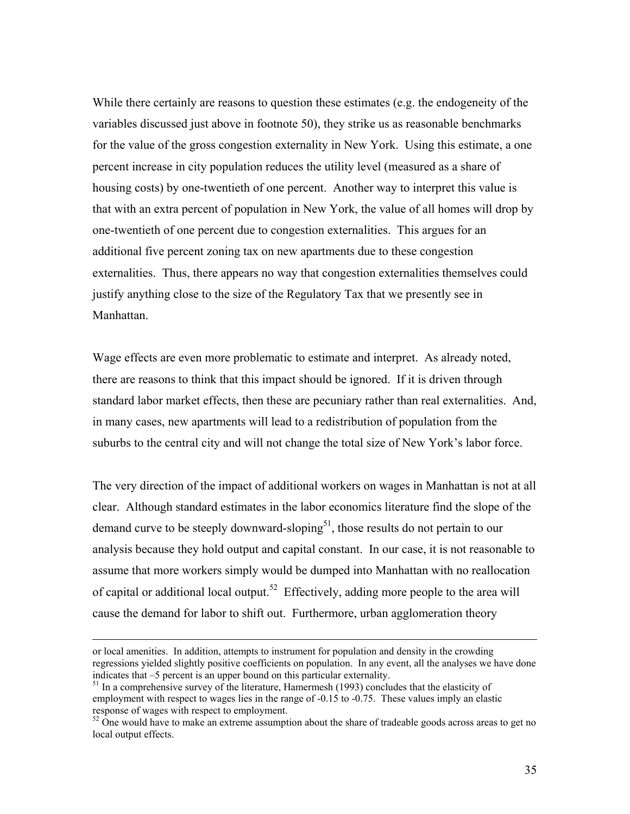While there certainly are reasons to question these estimates (e.g. the endogeneity of the variables discussed just above in footnote 50), they strike us as reasonable benchmarks for the value of the gross congestion externality in New York. Using this estimate, a one percent increase in city population reduces the utility level (measured as a share of housing costs) by one-twentieth of one percent. Another way to interpret this value is that with an extra percent of population in New York, the value of all homes will drop by one-twentieth of one percent due to congestion externalities. This argues for an additional five percent zoning tax on new apartments due to these congestion externalities. Thus, there appears no way that congestion externalities themselves could justify anything close to the size of the Regulatory Tax that we presently see in Manhattan.

Wage effects are even more problematic to estimate and interpret. As already noted, there are reasons to think that this impact should be ignored. If it is driven through standard labor market effects, then these are pecuniary rather than real externalities. And, in many cases, new apartments will lead to a redistribution of population from the suburbs to the central city and will not change the total size of New York's labor force.

The very direction of the impact of additional workers on wages in Manhattan is not at all clear. Although standard estimates in the labor economics literature find the slope of the demand curve to be steeply downward-sloping<sup>51</sup>, those results do not pertain to our analysis because they hold output and capital constant. In our case, it is not reasonable to assume that more workers simply would be dumped into Manhattan with no reallocation of capital or additional local output.<sup>52</sup> Effectively, adding more people to the area will cause the demand for labor to shift out. Furthermore, urban agglomeration theory

or local amenities. In addition, attempts to instrument for population and density in the crowding regressions yielded slightly positive coefficients on population. In any event, all the analyses we have done indicates that –5 percent is an upper bound on this particular externality.

 $<sup>51</sup>$  In a comprehensive survey of the literature, Hamermesh (1993) concludes that the elasticity of</sup> employment with respect to wages lies in the range of -0.15 to -0.75. These values imply an elastic response of wages with respect to employment.

 $52$  One would have to make an extreme assumption about the share of tradeable goods across areas to get no local output effects.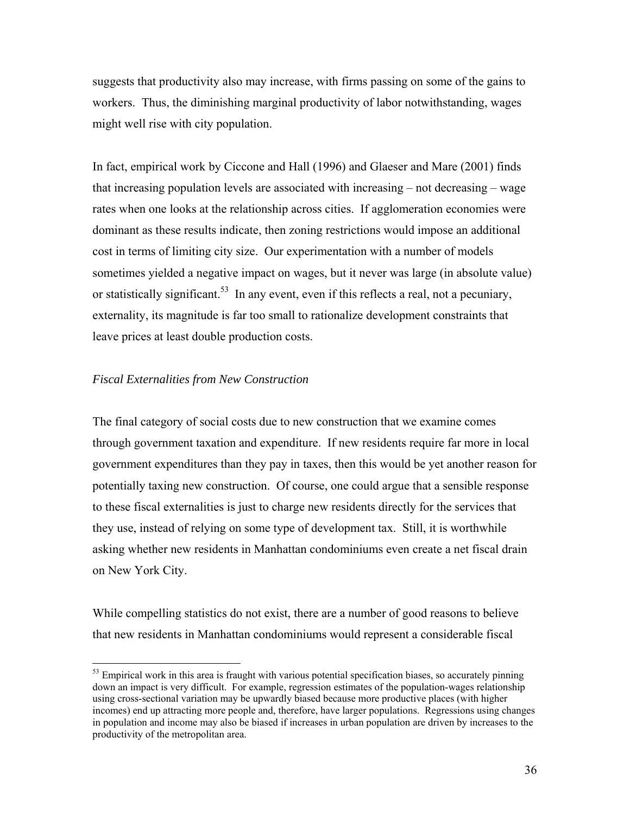suggests that productivity also may increase, with firms passing on some of the gains to workers. Thus, the diminishing marginal productivity of labor notwithstanding, wages might well rise with city population.

In fact, empirical work by Ciccone and Hall (1996) and Glaeser and Mare (2001) finds that increasing population levels are associated with increasing – not decreasing – wage rates when one looks at the relationship across cities. If agglomeration economies were dominant as these results indicate, then zoning restrictions would impose an additional cost in terms of limiting city size. Our experimentation with a number of models sometimes yielded a negative impact on wages, but it never was large (in absolute value) or statistically significant.<sup>53</sup> In any event, even if this reflects a real, not a pecuniary, externality, its magnitude is far too small to rationalize development constraints that leave prices at least double production costs.

## *Fiscal Externalities from New Construction*

 $\overline{a}$ 

The final category of social costs due to new construction that we examine comes through government taxation and expenditure. If new residents require far more in local government expenditures than they pay in taxes, then this would be yet another reason for potentially taxing new construction. Of course, one could argue that a sensible response to these fiscal externalities is just to charge new residents directly for the services that they use, instead of relying on some type of development tax. Still, it is worthwhile asking whether new residents in Manhattan condominiums even create a net fiscal drain on New York City.

While compelling statistics do not exist, there are a number of good reasons to believe that new residents in Manhattan condominiums would represent a considerable fiscal

 $53$  Empirical work in this area is fraught with various potential specification biases, so accurately pinning down an impact is very difficult. For example, regression estimates of the population-wages relationship using cross-sectional variation may be upwardly biased because more productive places (with higher incomes) end up attracting more people and, therefore, have larger populations. Regressions using changes in population and income may also be biased if increases in urban population are driven by increases to the productivity of the metropolitan area.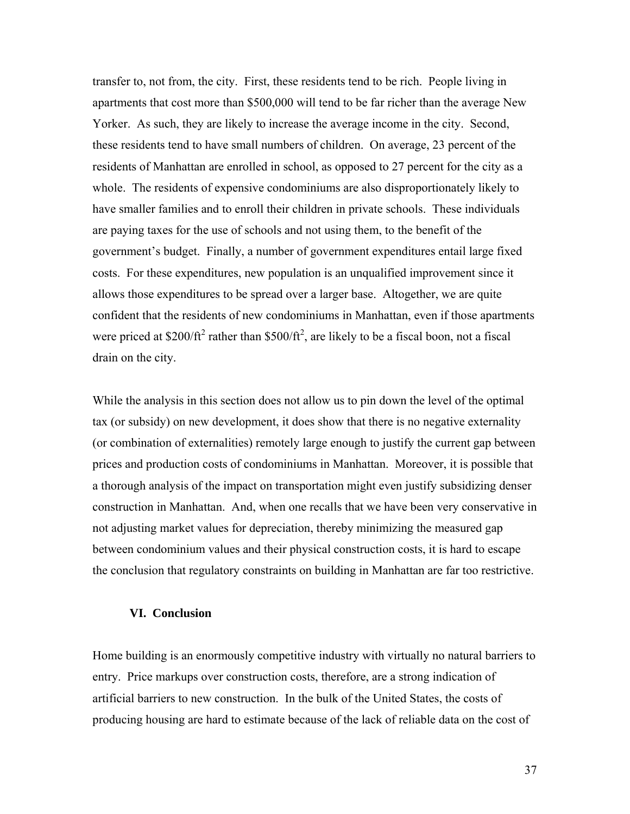transfer to, not from, the city. First, these residents tend to be rich. People living in apartments that cost more than \$500,000 will tend to be far richer than the average New Yorker. As such, they are likely to increase the average income in the city. Second, these residents tend to have small numbers of children. On average, 23 percent of the residents of Manhattan are enrolled in school, as opposed to 27 percent for the city as a whole. The residents of expensive condominiums are also disproportionately likely to have smaller families and to enroll their children in private schools. These individuals are paying taxes for the use of schools and not using them, to the benefit of the government's budget. Finally, a number of government expenditures entail large fixed costs. For these expenditures, new population is an unqualified improvement since it allows those expenditures to be spread over a larger base. Altogether, we are quite confident that the residents of new condominiums in Manhattan, even if those apartments were priced at \$200/ft<sup>2</sup> rather than \$500/ft<sup>2</sup>, are likely to be a fiscal boon, not a fiscal drain on the city.

While the analysis in this section does not allow us to pin down the level of the optimal tax (or subsidy) on new development, it does show that there is no negative externality (or combination of externalities) remotely large enough to justify the current gap between prices and production costs of condominiums in Manhattan. Moreover, it is possible that a thorough analysis of the impact on transportation might even justify subsidizing denser construction in Manhattan. And, when one recalls that we have been very conservative in not adjusting market values for depreciation, thereby minimizing the measured gap between condominium values and their physical construction costs, it is hard to escape the conclusion that regulatory constraints on building in Manhattan are far too restrictive.

#### **VI. Conclusion**

Home building is an enormously competitive industry with virtually no natural barriers to entry. Price markups over construction costs, therefore, are a strong indication of artificial barriers to new construction. In the bulk of the United States, the costs of producing housing are hard to estimate because of the lack of reliable data on the cost of

37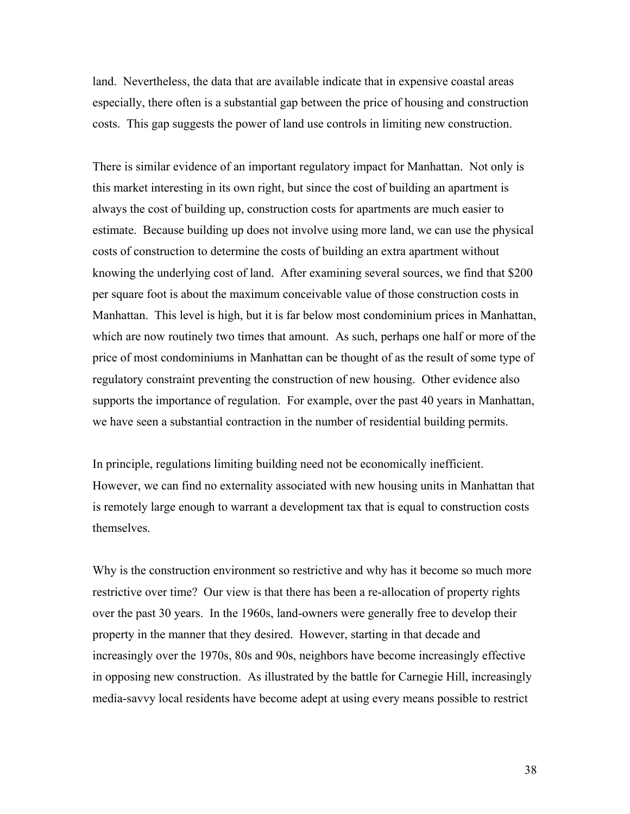land. Nevertheless, the data that are available indicate that in expensive coastal areas especially, there often is a substantial gap between the price of housing and construction costs. This gap suggests the power of land use controls in limiting new construction.

There is similar evidence of an important regulatory impact for Manhattan. Not only is this market interesting in its own right, but since the cost of building an apartment is always the cost of building up, construction costs for apartments are much easier to estimate. Because building up does not involve using more land, we can use the physical costs of construction to determine the costs of building an extra apartment without knowing the underlying cost of land. After examining several sources, we find that \$200 per square foot is about the maximum conceivable value of those construction costs in Manhattan. This level is high, but it is far below most condominium prices in Manhattan, which are now routinely two times that amount. As such, perhaps one half or more of the price of most condominiums in Manhattan can be thought of as the result of some type of regulatory constraint preventing the construction of new housing. Other evidence also supports the importance of regulation. For example, over the past 40 years in Manhattan, we have seen a substantial contraction in the number of residential building permits.

In principle, regulations limiting building need not be economically inefficient. However, we can find no externality associated with new housing units in Manhattan that is remotely large enough to warrant a development tax that is equal to construction costs themselves.

Why is the construction environment so restrictive and why has it become so much more restrictive over time? Our view is that there has been a re-allocation of property rights over the past 30 years. In the 1960s, land-owners were generally free to develop their property in the manner that they desired. However, starting in that decade and increasingly over the 1970s, 80s and 90s, neighbors have become increasingly effective in opposing new construction. As illustrated by the battle for Carnegie Hill, increasingly media-savvy local residents have become adept at using every means possible to restrict

38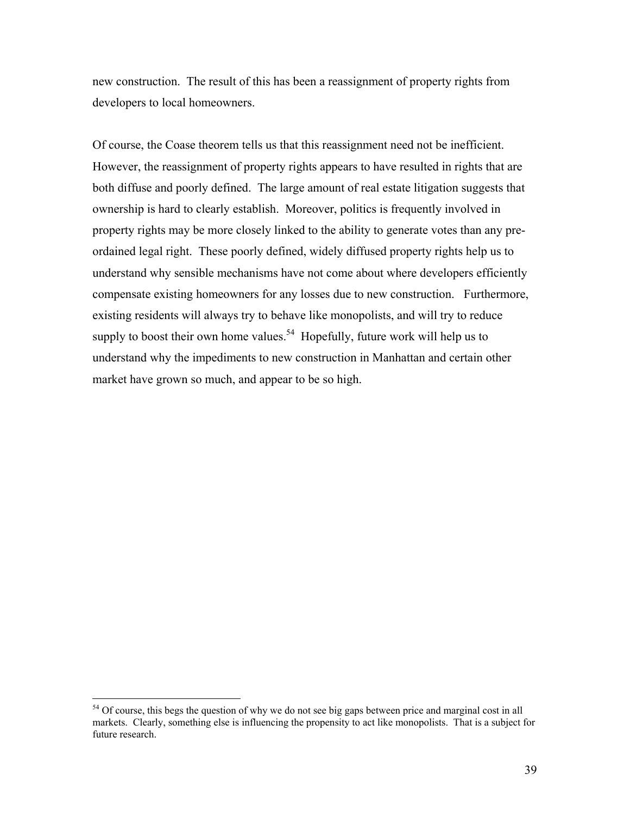new construction. The result of this has been a reassignment of property rights from developers to local homeowners.

Of course, the Coase theorem tells us that this reassignment need not be inefficient. However, the reassignment of property rights appears to have resulted in rights that are both diffuse and poorly defined. The large amount of real estate litigation suggests that ownership is hard to clearly establish. Moreover, politics is frequently involved in property rights may be more closely linked to the ability to generate votes than any preordained legal right. These poorly defined, widely diffused property rights help us to understand why sensible mechanisms have not come about where developers efficiently compensate existing homeowners for any losses due to new construction. Furthermore, existing residents will always try to behave like monopolists, and will try to reduce supply to boost their own home values.<sup>54</sup> Hopefully, future work will help us to understand why the impediments to new construction in Manhattan and certain other market have grown so much, and appear to be so high.

 $54$  Of course, this begs the question of why we do not see big gaps between price and marginal cost in all markets. Clearly, something else is influencing the propensity to act like monopolists. That is a subject for future research.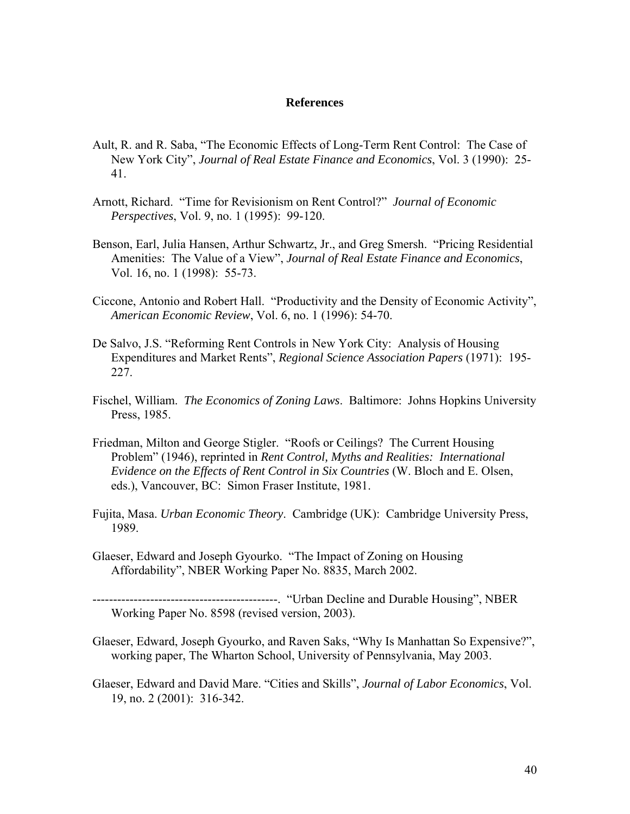#### **References**

- Ault, R. and R. Saba, "The Economic Effects of Long-Term Rent Control: The Case of New York City", *Journal of Real Estate Finance and Economics*, Vol. 3 (1990): 25- 41.
- Arnott, Richard. "Time for Revisionism on Rent Control?" *Journal of Economic Perspectives*, Vol. 9, no. 1 (1995): 99-120.
- Benson, Earl, Julia Hansen, Arthur Schwartz, Jr., and Greg Smersh. "Pricing Residential Amenities: The Value of a View", *Journal of Real Estate Finance and Economics*, Vol. 16, no. 1 (1998): 55-73.
- Ciccone, Antonio and Robert Hall. "Productivity and the Density of Economic Activity", *American Economic Review*, Vol. 6, no. 1 (1996): 54-70.
- De Salvo, J.S. "Reforming Rent Controls in New York City: Analysis of Housing Expenditures and Market Rents", *Regional Science Association Papers* (1971): 195- 227.
- Fischel, William. *The Economics of Zoning Laws*. Baltimore: Johns Hopkins University Press, 1985.
- Friedman, Milton and George Stigler. "Roofs or Ceilings? The Current Housing Problem" (1946), reprinted in *Rent Control, Myths and Realities: International Evidence on the Effects of Rent Control in Six Countries* (W. Bloch and E. Olsen, eds.), Vancouver, BC: Simon Fraser Institute, 1981.
- Fujita, Masa. *Urban Economic Theory*. Cambridge (UK): Cambridge University Press, 1989.
- Glaeser, Edward and Joseph Gyourko. "The Impact of Zoning on Housing Affordability", NBER Working Paper No. 8835, March 2002.

-----------------------. "Urban Decline and Durable Housing", NBER Working Paper No. 8598 (revised version, 2003).

- Glaeser, Edward, Joseph Gyourko, and Raven Saks, "Why Is Manhattan So Expensive?", working paper, The Wharton School, University of Pennsylvania, May 2003.
- Glaeser, Edward and David Mare. "Cities and Skills", *Journal of Labor Economics*, Vol. 19, no. 2 (2001): 316-342.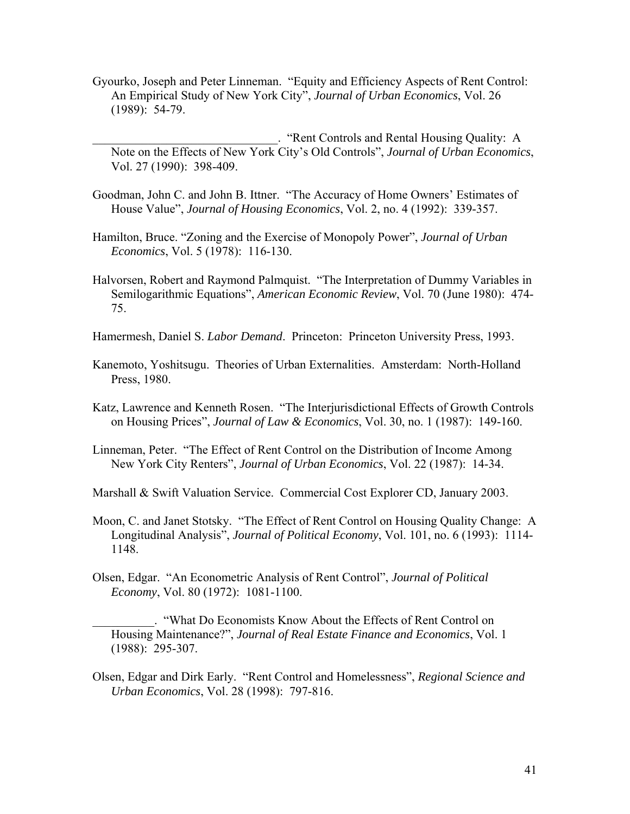- Gyourko, Joseph and Peter Linneman. "Equity and Efficiency Aspects of Rent Control: An Empirical Study of New York City", *Journal of Urban Economics*, Vol. 26 (1989): 54-79.
	- \_\_\_\_\_\_\_\_\_\_\_\_\_\_\_\_\_\_\_\_\_\_\_\_\_\_\_\_\_\_. "Rent Controls and Rental Housing Quality: A Note on the Effects of New York City's Old Controls", *Journal of Urban Economics*, Vol. 27 (1990): 398-409.
- Goodman, John C. and John B. Ittner. "The Accuracy of Home Owners' Estimates of House Value", *Journal of Housing Economics*, Vol. 2, no. 4 (1992): 339-357.
- Hamilton, Bruce. "Zoning and the Exercise of Monopoly Power", *Journal of Urban Economics*, Vol. 5 (1978): 116-130.
- Halvorsen, Robert and Raymond Palmquist. "The Interpretation of Dummy Variables in Semilogarithmic Equations", *American Economic Review*, Vol. 70 (June 1980): 474- 75.
- Hamermesh, Daniel S. *Labor Demand*. Princeton: Princeton University Press, 1993.
- Kanemoto, Yoshitsugu. Theories of Urban Externalities. Amsterdam: North-Holland Press, 1980.
- Katz, Lawrence and Kenneth Rosen. "The Interjurisdictional Effects of Growth Controls on Housing Prices", *Journal of Law & Economics*, Vol. 30, no. 1 (1987): 149-160.
- Linneman, Peter. "The Effect of Rent Control on the Distribution of Income Among New York City Renters", *Journal of Urban Economics*, Vol. 22 (1987): 14-34.
- Marshall & Swift Valuation Service. Commercial Cost Explorer CD, January 2003.
- Moon, C. and Janet Stotsky. "The Effect of Rent Control on Housing Quality Change: A Longitudinal Analysis", *Journal of Political Economy*, Vol. 101, no. 6 (1993): 1114- 1148.
- Olsen, Edgar. "An Econometric Analysis of Rent Control", *Journal of Political Economy*, Vol. 80 (1972): 1081-1100.
	- \_\_\_\_\_\_\_\_\_\_. "What Do Economists Know About the Effects of Rent Control on Housing Maintenance?", *Journal of Real Estate Finance and Economics*, Vol. 1 (1988): 295-307.
- Olsen, Edgar and Dirk Early. "Rent Control and Homelessness", *Regional Science and Urban Economics*, Vol. 28 (1998): 797-816.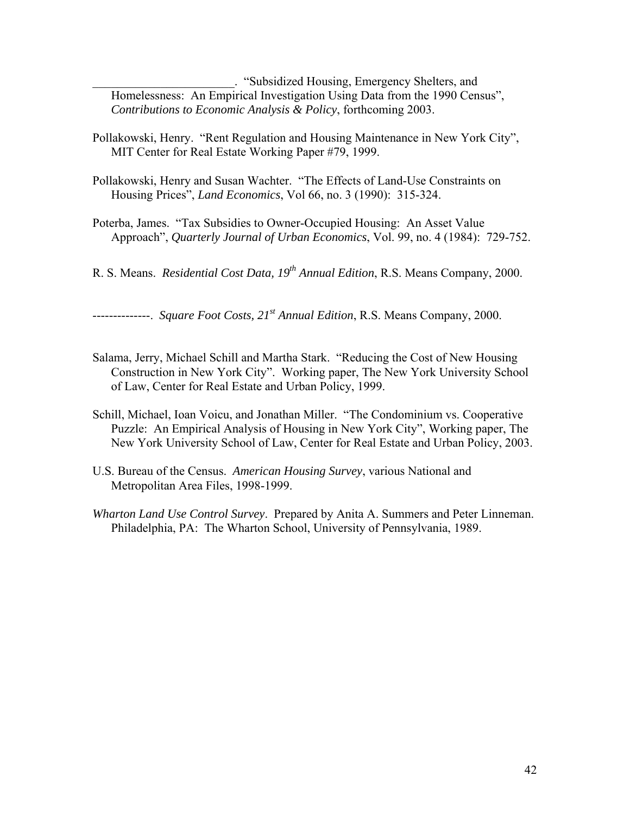\_\_\_\_\_\_\_\_\_\_\_\_\_\_\_\_\_\_\_\_\_\_\_. "Subsidized Housing, Emergency Shelters, and Homelessness: An Empirical Investigation Using Data from the 1990 Census", *Contributions to Economic Analysis & Policy*, forthcoming 2003.

- Pollakowski, Henry. "Rent Regulation and Housing Maintenance in New York City", MIT Center for Real Estate Working Paper #79, 1999.
- Pollakowski, Henry and Susan Wachter. "The Effects of Land-Use Constraints on Housing Prices", *Land Economics*, Vol 66, no. 3 (1990): 315-324.
- Poterba, James. "Tax Subsidies to Owner-Occupied Housing: An Asset Value Approach", *Quarterly Journal of Urban Economics*, Vol. 99, no. 4 (1984): 729-752.
- R. S. Means. *Residential Cost Data, 19th Annual Edition*, R.S. Means Company, 2000.

--------------. *Square Foot Costs, 21st Annual Edition*, R.S. Means Company, 2000.

- Salama, Jerry, Michael Schill and Martha Stark. "Reducing the Cost of New Housing Construction in New York City". Working paper, The New York University School of Law, Center for Real Estate and Urban Policy, 1999.
- Schill, Michael, Ioan Voicu, and Jonathan Miller. "The Condominium vs. Cooperative Puzzle: An Empirical Analysis of Housing in New York City", Working paper, The New York University School of Law, Center for Real Estate and Urban Policy, 2003.
- U.S. Bureau of the Census. *American Housing Survey*, various National and Metropolitan Area Files, 1998-1999.
- *Wharton Land Use Control Survey*. Prepared by Anita A. Summers and Peter Linneman. Philadelphia, PA: The Wharton School, University of Pennsylvania, 1989.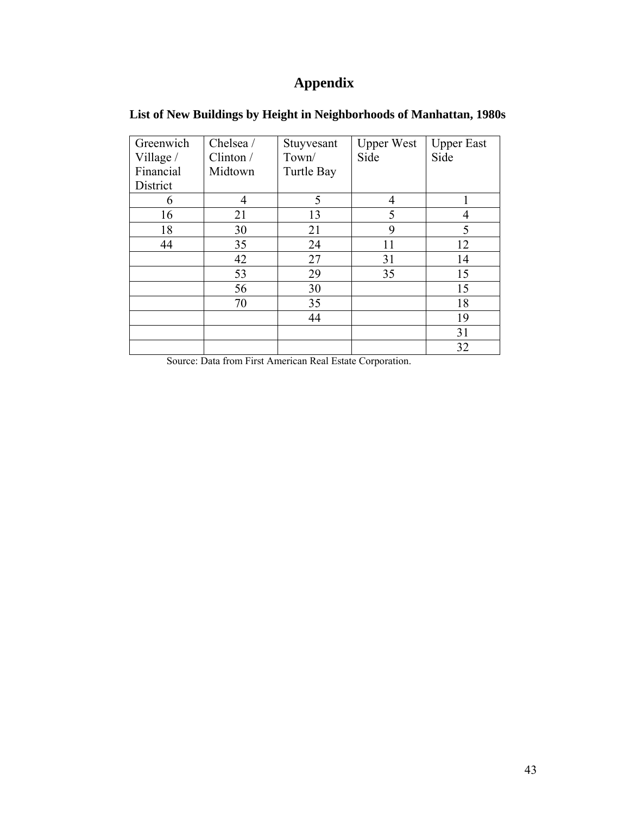# **Appendix**

| Greenwich | Chelsea /      | Stuyvesant | <b>Upper West</b> | <b>Upper East</b> |
|-----------|----------------|------------|-------------------|-------------------|
| Village / | Clinton $/$    | Town/      | Side              | Side              |
| Financial | Midtown        | Turtle Bay |                   |                   |
| District  |                |            |                   |                   |
| 6         | $\overline{4}$ | 5          | 4                 |                   |
| 16        | 21             | 13         | 5                 | 4                 |
| 18        | 30             | 21         | 9                 | 5                 |
| 44        | 35             | 24         | 11                | 12                |
|           | 42             | 27         | 31                | 14                |
|           | 53             | 29         | 35                | 15                |
|           | 56             | 30         |                   | 15                |
|           | 70             | 35         |                   | 18                |
|           |                | 44         |                   | 19                |
|           |                |            |                   | 31                |
|           |                |            |                   | 32                |

## **List of New Buildings by Height in Neighborhoods of Manhattan, 1980s**

Source: Data from First American Real Estate Corporation.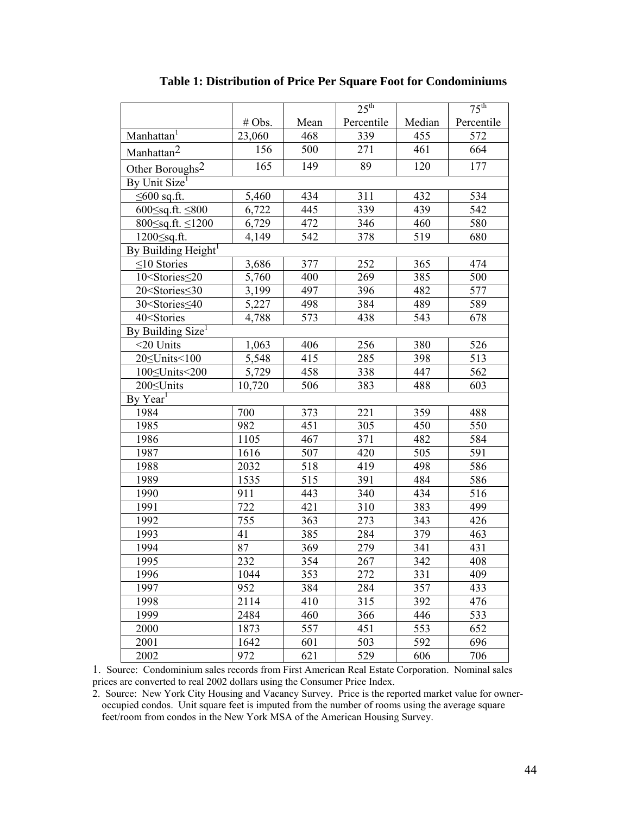|                                                                                                    |                    |      | 25 <sup>th</sup> |        | $75^{\text{th}}$ |
|----------------------------------------------------------------------------------------------------|--------------------|------|------------------|--------|------------------|
|                                                                                                    | # Obs.             | Mean | Percentile       | Median | Percentile       |
| Manhattan <sup>1</sup>                                                                             | 23,060             | 468  | 339              | 455    | 572              |
| Manhattan <sup>2</sup>                                                                             | 156                | 500  | 271              | 461    | 664              |
| Other Boroughs <sup>2</sup>                                                                        | 165                | 149  | 89               | 120    | 177              |
| $\overline{\mathrm{By}}$ Unit Size <sup>1</sup>                                                    |                    |      |                  |        |                  |
| $\leq 600$ sq.ft.                                                                                  | 5,460              | 434  | 311              | 432    | 534              |
| 600≤sq.ft. ≤800                                                                                    | 6,722              | 445  | 339              | 439    | 542              |
| 800≤sq.ft. ≤1200                                                                                   | $\overline{6,}729$ | 472  | 346              | 460    | 580              |
| 1200 Sq.ft.                                                                                        | 4,149              | 542  | 378              | 519    | 680              |
| By Building Height <sup>1</sup>                                                                    |                    |      |                  |        |                  |
| $\leq$ 10 Stories                                                                                  | 3,686              | 377  | 252              | 365    | 474              |
| 10 <stories <<br=""></stories> 20                                                                  | 5,760              | 400  | 269              | 385    | 500              |
| 20 <stories <<br=""></stories> 30                                                                  | 3,199              | 497  | 396              | 482    | 577              |
| 30 <stories<40< td=""><td>5,227</td><td>498</td><td>384</td><td>489</td><td>589</td></stories<40<> | 5,227              | 498  | 384              | 489    | 589              |
| 40 <stories< td=""><td>4,788</td><td>573</td><td>438</td><td>543</td><td>678</td></stories<>       | 4,788              | 573  | 438              | 543    | 678              |
| By Building Size <sup>1</sup>                                                                      |                    |      |                  |        |                  |
| $<$ 20 Units                                                                                       | 1,063              | 406  | 256              | 380    | 526              |
| 20 <<br>Units<100                                                                                  | 5,548              | 415  | 285              | 398    | 513              |
| 100 <units<200< td=""><td>5,729</td><td>458</td><td>338</td><td>447</td><td>562</td></units<200<>  | 5,729              | 458  | 338              | 447    | 562              |
| 200 <units< td=""><td>10,720</td><td>506</td><td>383</td><td>488</td><td>603</td></units<>         | 10,720             | 506  | 383              | 488    | 603              |
| By Year <sup>1</sup>                                                                               |                    |      |                  |        |                  |
| 1984                                                                                               | 700                | 373  | 221              | 359    | 488              |
| 1985                                                                                               | 982                | 451  | 305              | 450    | 550              |
| 1986                                                                                               | 1105               | 467  | 371              | 482    | 584              |
| 1987                                                                                               | 1616               | 507  | 420              | 505    | 591              |
| 1988                                                                                               | 2032               | 518  | 419              | 498    | 586              |
| 1989                                                                                               | 1535               | 515  | 391              | 484    | 586              |
| 1990                                                                                               | 911                | 443  | 340              | 434    | 516              |
| 1991                                                                                               | 722                | 421  | 310              | 383    | 499              |
| 1992                                                                                               | 755                | 363  | 273              | 343    | 426              |
| 1993                                                                                               | 41                 | 385  | 284              | 379    | 463              |
| 1994                                                                                               | 87                 | 369  | 279              | 341    | 431              |
| 1995                                                                                               | 232                | 354  | 267              | 342    | 408              |
| 1996                                                                                               | 1044               | 353  | 272              | 331    | 409              |
| 1997                                                                                               | 952                | 384  | 284              | 357    | 433              |
| 1998                                                                                               | 2114               | 410  | 315              | 392    | 476              |
| 1999                                                                                               | 2484               | 460  | 366              | 446    | 533              |
| 2000                                                                                               | 1873               | 557  | 451              | 553    | 652              |
| 2001                                                                                               | 1642               | 601  | 503              | 592    | 696              |
| 2002                                                                                               | 972                | 621  | 529              | 606    | 706              |

**Table 1: Distribution of Price Per Square Foot for Condominiums** 

1. Source: Condominium sales records from First American Real Estate Corporation. Nominal sales prices are converted to real 2002 dollars using the Consumer Price Index.

2. Source: New York City Housing and Vacancy Survey. Price is the reported market value for owneroccupied condos. Unit square feet is imputed from the number of rooms using the average square feet/room from condos in the New York MSA of the American Housing Survey.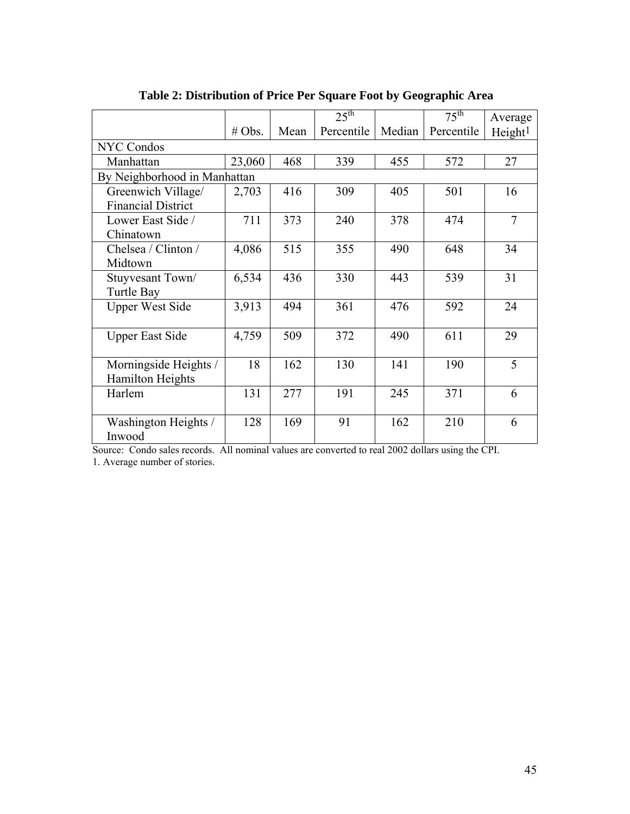|                              |        |      | $25^{\text{th}}$ |        | $75^{\text{th}}$ | Average             |  |  |
|------------------------------|--------|------|------------------|--------|------------------|---------------------|--|--|
|                              | # Obs. | Mean | Percentile       | Median | Percentile       | Height <sup>1</sup> |  |  |
| <b>NYC</b> Condos            |        |      |                  |        |                  |                     |  |  |
| Manhattan                    | 23,060 | 468  | 339              | 455    | 572              | 27                  |  |  |
| By Neighborhood in Manhattan |        |      |                  |        |                  |                     |  |  |
| Greenwich Village/           | 2,703  | 416  | 309              | 405    | 501              | 16                  |  |  |
| <b>Financial District</b>    |        |      |                  |        |                  |                     |  |  |
| Lower East Side /            | 711    | 373  | 240              | 378    | 474              | $\overline{7}$      |  |  |
| Chinatown                    |        |      |                  |        |                  |                     |  |  |
| Chelsea / Clinton /          | 4,086  | 515  | 355              | 490    | 648              | 34                  |  |  |
| Midtown                      |        |      |                  |        |                  |                     |  |  |
| Stuyvesant Town/             | 6,534  | 436  | 330              | 443    | 539              | 31                  |  |  |
| Turtle Bay                   |        |      |                  |        |                  |                     |  |  |
| <b>Upper West Side</b>       | 3,913  | 494  | 361              | 476    | 592              | 24                  |  |  |
|                              |        |      |                  |        |                  |                     |  |  |
| <b>Upper East Side</b>       | 4,759  | 509  | 372              | 490    | 611              | 29                  |  |  |
|                              |        |      |                  |        |                  |                     |  |  |
| Morningside Heights /        | 18     | 162  | 130              | 141    | 190              | 5                   |  |  |
| Hamilton Heights             |        |      |                  |        |                  |                     |  |  |
| Harlem                       | 131    | 277  | 191              | 245    | 371              | 6                   |  |  |
|                              |        |      |                  |        |                  |                     |  |  |
| Washington Heights /         | 128    | 169  | 91               | 162    | 210              | 6                   |  |  |
| Inwood                       |        |      |                  |        |                  |                     |  |  |

 **Table 2: Distribution of Price Per Square Foot by Geographic Area**

Source: Condo sales records. All nominal values are converted to real 2002 dollars using the CPI. 1. Average number of stories.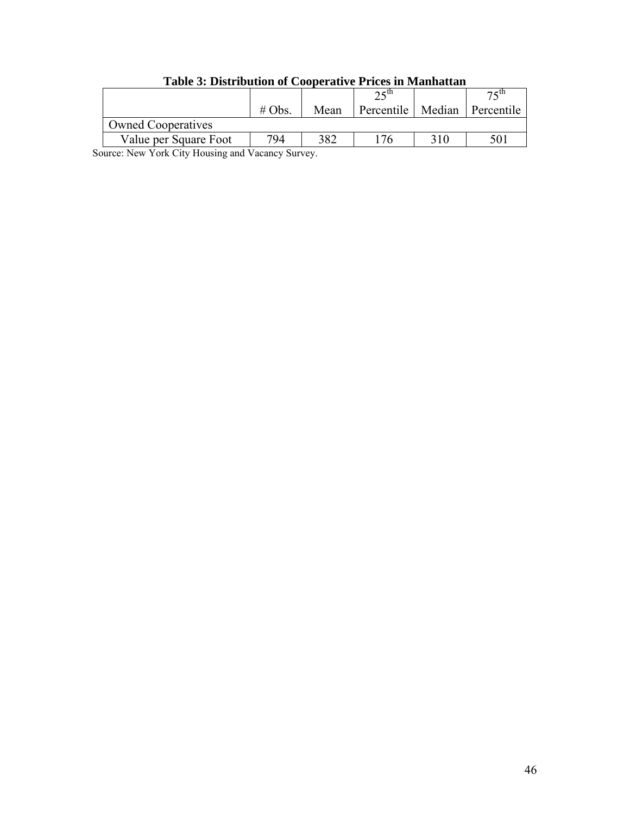|                                                                                                                                                                                                                                                                                                                                               |           |      | ี่∼ี้∼ี             |     | – Januar   |
|-----------------------------------------------------------------------------------------------------------------------------------------------------------------------------------------------------------------------------------------------------------------------------------------------------------------------------------------------|-----------|------|---------------------|-----|------------|
|                                                                                                                                                                                                                                                                                                                                               | $\#$ Obs. | Mean | Percentile   Median |     | Percentile |
| <b>Owned Cooperatives</b>                                                                                                                                                                                                                                                                                                                     |           |      |                     |     |            |
| Value per Square Foot                                                                                                                                                                                                                                                                                                                         | 794       | 382  | 76                  | 310 |            |
| $\mathbf{v}$ $\mathbf{v}$ $\mathbf{v}$ $\mathbf{v}$ $\mathbf{v}$ $\mathbf{v}$ $\mathbf{v}$ $\mathbf{v}$ $\mathbf{v}$ $\mathbf{v}$ $\mathbf{v}$ $\mathbf{v}$ $\mathbf{v}$ $\mathbf{v}$ $\mathbf{v}$ $\mathbf{v}$ $\mathbf{v}$ $\mathbf{v}$ $\mathbf{v}$ $\mathbf{v}$ $\mathbf{v}$ $\mathbf{v}$ $\mathbf{v}$ $\mathbf{v}$ $\mathbf{$<br>$1 + T$ | $\sim$    |      |                     |     |            |

## **Table 3: Distribution of Cooperative Prices in Manhattan**

Source: New York City Housing and Vacancy Survey.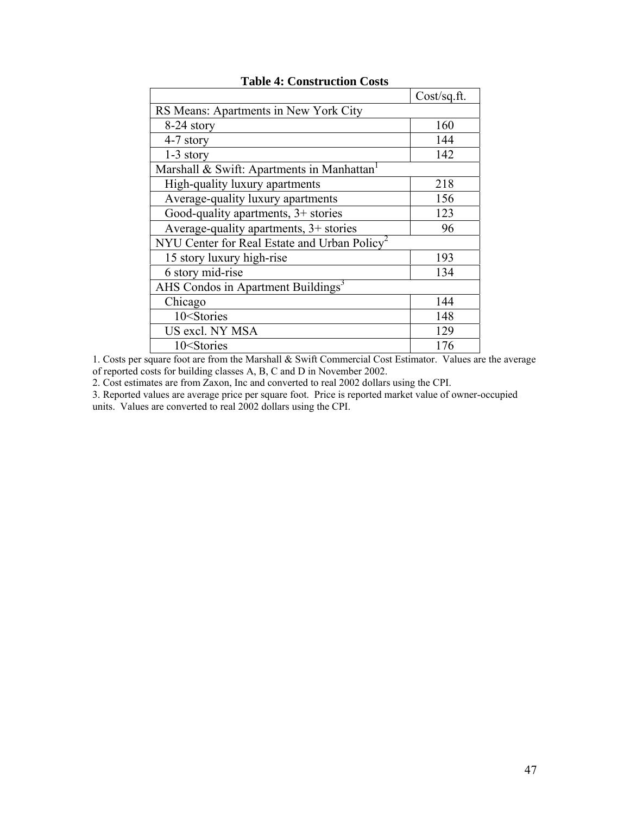|                                                          | Cost/sq.ft. |
|----------------------------------------------------------|-------------|
| RS Means: Apartments in New York City                    |             |
| 8-24 story                                               | 160         |
| 4-7 story                                                | 144         |
| $1-3$ story                                              | 142         |
| Marshall & Swift: Apartments in Manhattan <sup>1</sup>   |             |
| High-quality luxury apartments                           | 218         |
| Average-quality luxury apartments                        | 156         |
| Good-quality apartments, $3+$ stories                    | 123         |
| Average-quality apartments, 3+ stories                   | 96          |
| NYU Center for Real Estate and Urban Policy <sup>2</sup> |             |
| 15 story luxury high-rise                                | 193         |
| 6 story mid-rise                                         | 134         |
| AHS Condos in Apartment Buildings <sup>3</sup>           |             |
| Chicago                                                  | 144         |
| 10 <stories< td=""><td>148</td></stories<>               | 148         |
| US excl. NY MSA                                          | 129         |
| 10 <stories< td=""><td>176</td></stories<>               | 176         |

## **Table 4: Construction Costs**

1. Costs per square foot are from the Marshall & Swift Commercial Cost Estimator. Values are the average of reported costs for building classes A, B, C and D in November 2002.

2. Cost estimates are from Zaxon, Inc and converted to real 2002 dollars using the CPI.

3. Reported values are average price per square foot. Price is reported market value of owner-occupied units. Values are converted to real 2002 dollars using the CPI.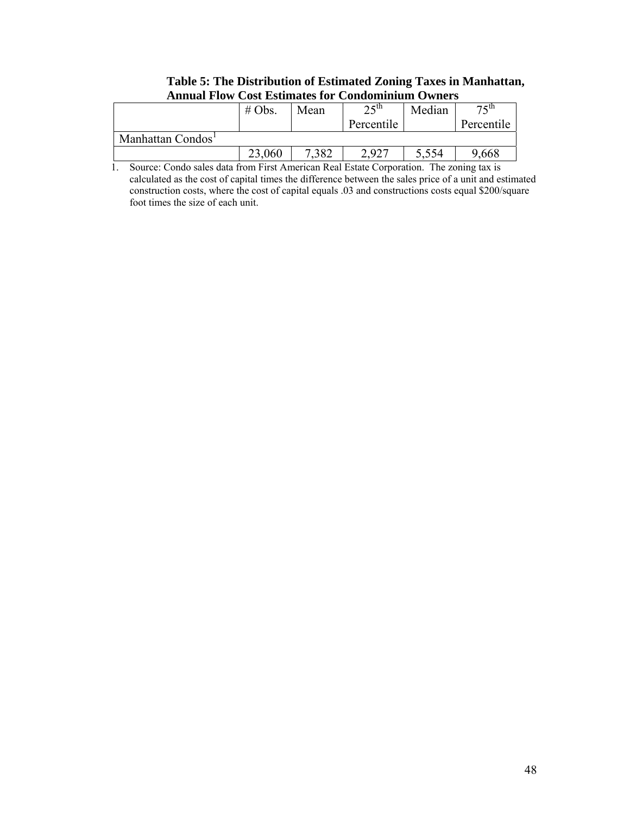| I AMMADIANA A AV II. O'UUV AJUVAMMUVU AVA TUVA O'UMMUMAMMAM TI II MUAD |        |      |                                |        |                    |
|------------------------------------------------------------------------|--------|------|--------------------------------|--------|--------------------|
|                                                                        | # Obs. | Mean | $\gamma$ $\zeta$ <sup>th</sup> | Median | $75$ <sup>th</sup> |
|                                                                        |        |      | Percentile                     |        | Percentile         |
| Manhattan Condos <sup>1</sup>                                          |        |      |                                |        |                    |
|                                                                        | .060   | .382 | 2.027                          | 5,554  | 9,668              |

## **Table 5: The Distribution of Estimated Zoning Taxes in Manhattan, Annual Flow Cost Estimates for Condominium Owners**

1. Source: Condo sales data from First American Real Estate Corporation. The zoning tax is calculated as the cost of capital times the difference between the sales price of a unit and estimated construction costs, where the cost of capital equals .03 and constructions costs equal \$200/square foot times the size of each unit.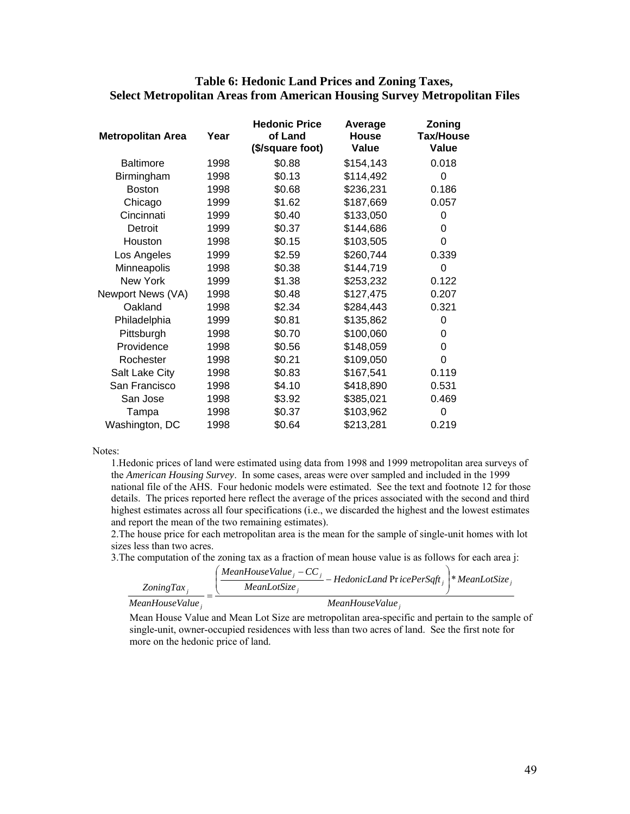## **Table 6: Hedonic Land Prices and Zoning Taxes, Select Metropolitan Areas from American Housing Survey Metropolitan Files**

| <b>Metropolitan Area</b> | Year | <b>Hedonic Price</b><br>of Land<br>(\$/square foot) | Average<br><b>House</b><br>Value | Zoning<br><b>Tax/House</b><br>Value |
|--------------------------|------|-----------------------------------------------------|----------------------------------|-------------------------------------|
| <b>Baltimore</b>         | 1998 | \$0.88                                              | \$154,143                        | 0.018                               |
| Birmingham               | 1998 | \$0.13                                              | \$114,492                        | 0                                   |
| <b>Boston</b>            | 1998 | \$0.68                                              | \$236,231                        | 0.186                               |
| Chicago                  | 1999 | \$1.62                                              | \$187,669                        | 0.057                               |
| Cincinnati               | 1999 | \$0.40                                              | \$133,050                        | 0                                   |
| Detroit                  | 1999 | \$0.37                                              | \$144,686                        | 0                                   |
| Houston                  | 1998 | \$0.15                                              | \$103,505                        | 0                                   |
| Los Angeles              | 1999 | \$2.59                                              | \$260,744                        | 0.339                               |
| Minneapolis              | 1998 | \$0.38                                              | \$144,719                        | 0                                   |
| New York                 | 1999 | \$1.38                                              | \$253,232                        | 0.122                               |
| Newport News (VA)        | 1998 | \$0.48                                              | \$127,475                        | 0.207                               |
| Oakland                  | 1998 | \$2.34                                              | \$284,443                        | 0.321                               |
| Philadelphia             | 1999 | \$0.81                                              | \$135,862                        | 0                                   |
| Pittsburgh               | 1998 | \$0.70                                              | \$100,060                        | 0                                   |
| Providence               | 1998 | \$0.56                                              | \$148,059                        | 0                                   |
| Rochester                | 1998 | \$0.21                                              | \$109,050                        | 0                                   |
| Salt Lake City           | 1998 | \$0.83                                              | \$167,541                        | 0.119                               |
| San Francisco            | 1998 | \$4.10                                              | \$418,890                        | 0.531                               |
| San Jose                 | 1998 | \$3.92                                              | \$385,021                        | 0.469                               |
| Tampa                    | 1998 | \$0.37                                              | \$103,962                        | 0                                   |
| Washington, DC           | 1998 | \$0.64                                              | \$213,281                        | 0.219                               |

#### Notes:

1.Hedonic prices of land were estimated using data from 1998 and 1999 metropolitan area surveys of the *American Housing Survey*. In some cases, areas were over sampled and included in the 1999 national file of the AHS. Four hedonic models were estimated. See the text and footnote 12 for those details. The prices reported here reflect the average of the prices associated with the second and third highest estimates across all four specifications (i.e., we discarded the highest and the lowest estimates and report the mean of the two remaining estimates).

2.The house price for each metropolitan area is the mean for the sample of single-unit homes with lot sizes less than two acres.

3.The computation of the zoning tax as a fraction of mean house value is as follows for each area j:

|                                 | MeanHouseValue, $-CC_i$ | $\mu$ <sup>'</sup> – HedonicLand PricePerSqft <sub>i</sub>  * MeanLotSize <sub>i</sub> |  |
|---------------------------------|-------------------------|----------------------------------------------------------------------------------------|--|
| $\mathsf{Zoning}\mathsf{Tax}_i$ | MeanLotSize,            |                                                                                        |  |
| MeanHouseValue                  |                         | MeanHouseValue                                                                         |  |

Mean House Value and Mean Lot Size are metropolitan area-specific and pertain to the sample of single-unit, owner-occupied residences with less than two acres of land. See the first note for more on the hedonic price of land.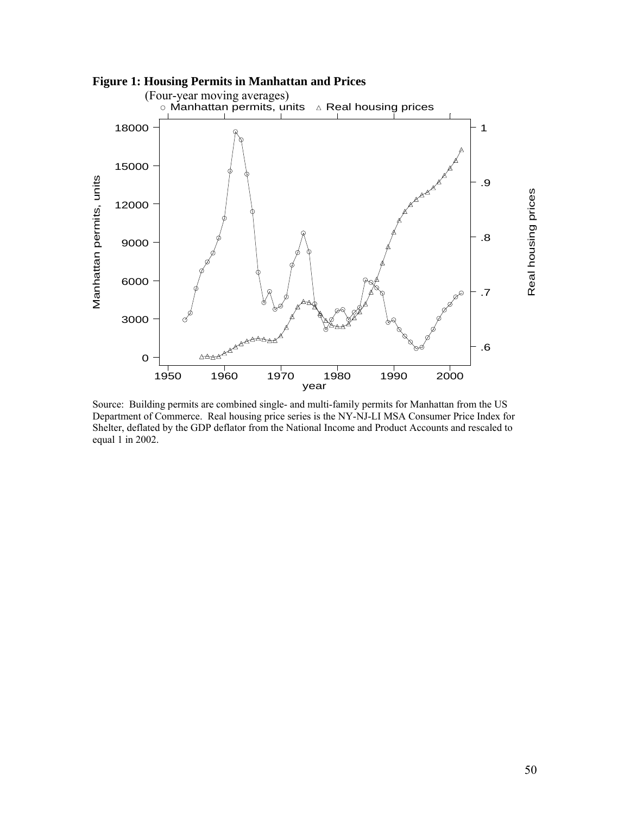

**Figure 1: Housing Permits in Manhattan and Prices** 

Source: Building permits are combined single- and multi-family permits for Manhattan from the US Department of Commerce. Real housing price series is the NY-NJ-LI MSA Consumer Price Index for Shelter, deflated by the GDP deflator from the National Income and Product Accounts and rescaled to equal 1 in 2002.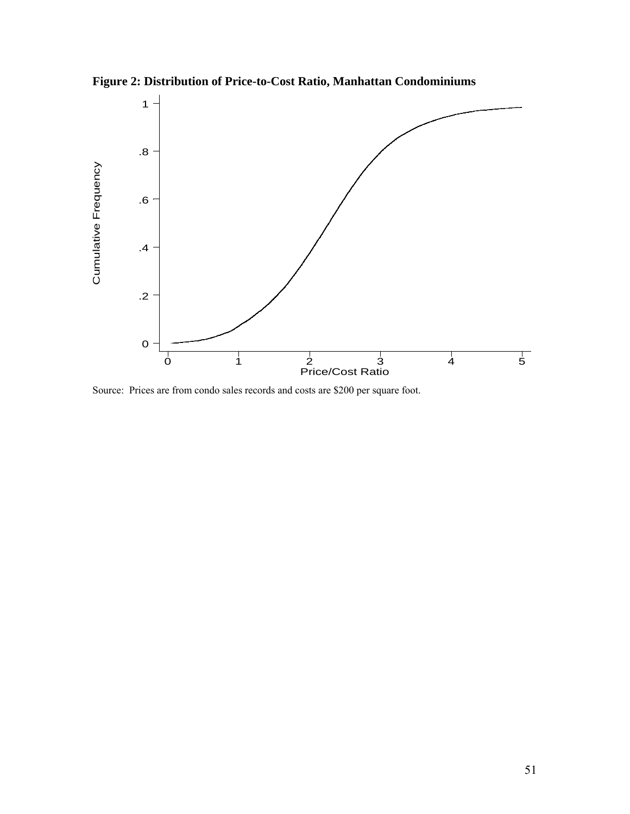

**Figure 2: Distribution of Price-to-Cost Ratio, Manhattan Condominiums** 

Source: Prices are from condo sales records and costs are \$200 per square foot.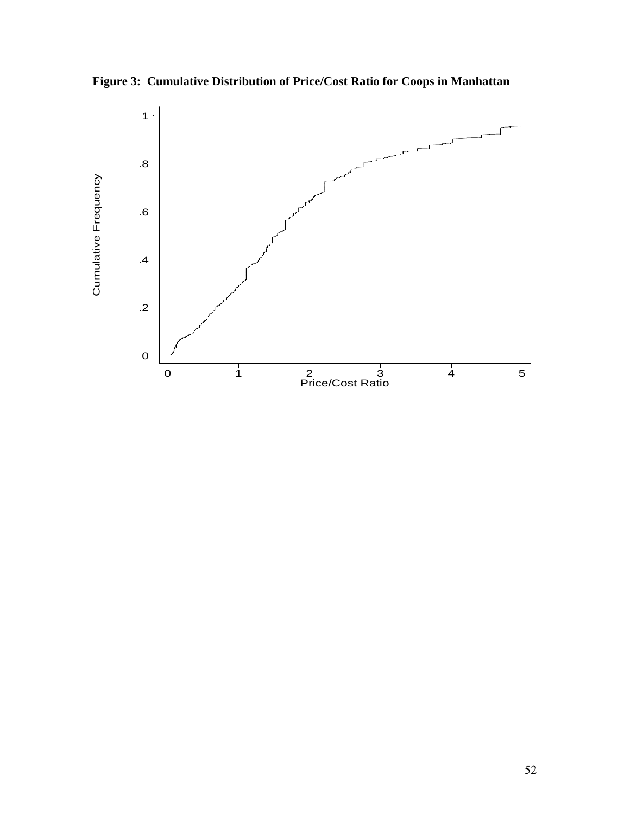